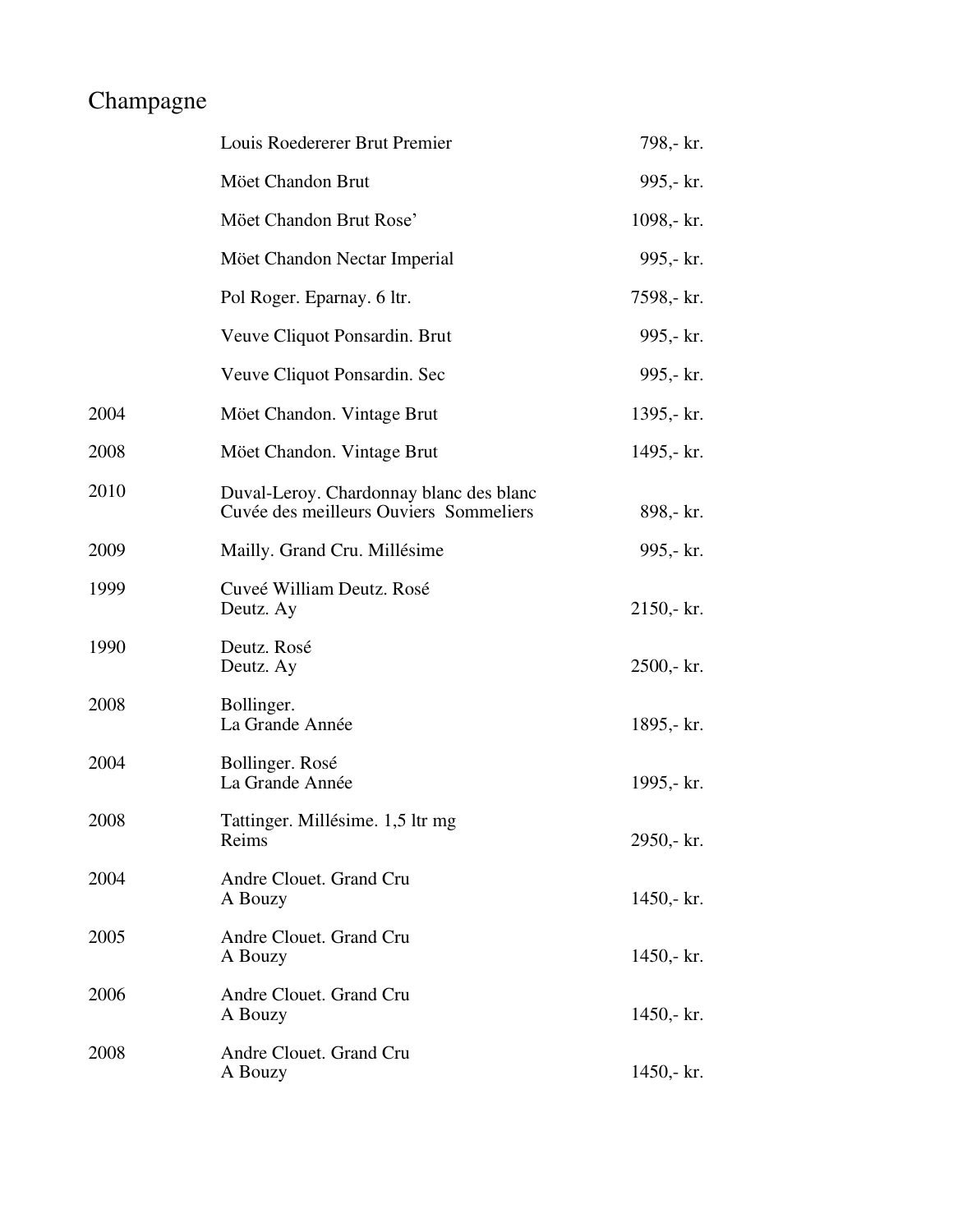## Champagne

|      | Louis Roedererer Brut Premier                                                     | 798,- kr.    |
|------|-----------------------------------------------------------------------------------|--------------|
|      | Möet Chandon Brut                                                                 | 995,- kr.    |
|      | Möet Chandon Brut Rose'                                                           | 1098,- $kr.$ |
|      | Möet Chandon Nectar Imperial                                                      | 995,- kr.    |
|      | Pol Roger. Eparnay. 6 ltr.                                                        | 7598,- kr.   |
|      | Veuve Cliquot Ponsardin. Brut                                                     | 995,- kr.    |
|      | Veuve Cliquot Ponsardin. Sec                                                      | 995,- kr.    |
| 2004 | Möet Chandon. Vintage Brut                                                        | 1395,- $kr.$ |
| 2008 | Möet Chandon. Vintage Brut                                                        | 1495,- kr.   |
| 2010 | Duval-Leroy. Chardonnay blanc des blanc<br>Cuvée des meilleurs Ouviers Sommeliers | 898,- kr.    |
| 2009 | Mailly. Grand Cru. Millésime                                                      | 995,- kr.    |
| 1999 | Cuveé William Deutz. Rosé<br>Deutz. Ay                                            | $2150 - kr.$ |
| 1990 | Deutz. Rosé<br>Deutz. Ay                                                          | $2500 - kr.$ |
| 2008 | Bollinger.<br>La Grande Année                                                     | 1895,- kr.   |
| 2004 | Bollinger. Rosé<br>La Grande Année                                                | 1995,- kr.   |
| 2008 | Tattinger. Millésime. 1,5 ltr mg<br>Reims                                         | 2950,- kr.   |
| 2004 | Andre Clouet. Grand Cru<br>A Bouzy                                                | $1450 - kr.$ |
| 2005 | Andre Clouet. Grand Cru<br>A Bouzy                                                | 1450,- $kr.$ |
| 2006 | Andre Clouet. Grand Cru<br>A Bouzy                                                | 1450,- $kr.$ |
| 2008 | Andre Clouet. Grand Cru<br>A Bouzy                                                | $1450 - k.$  |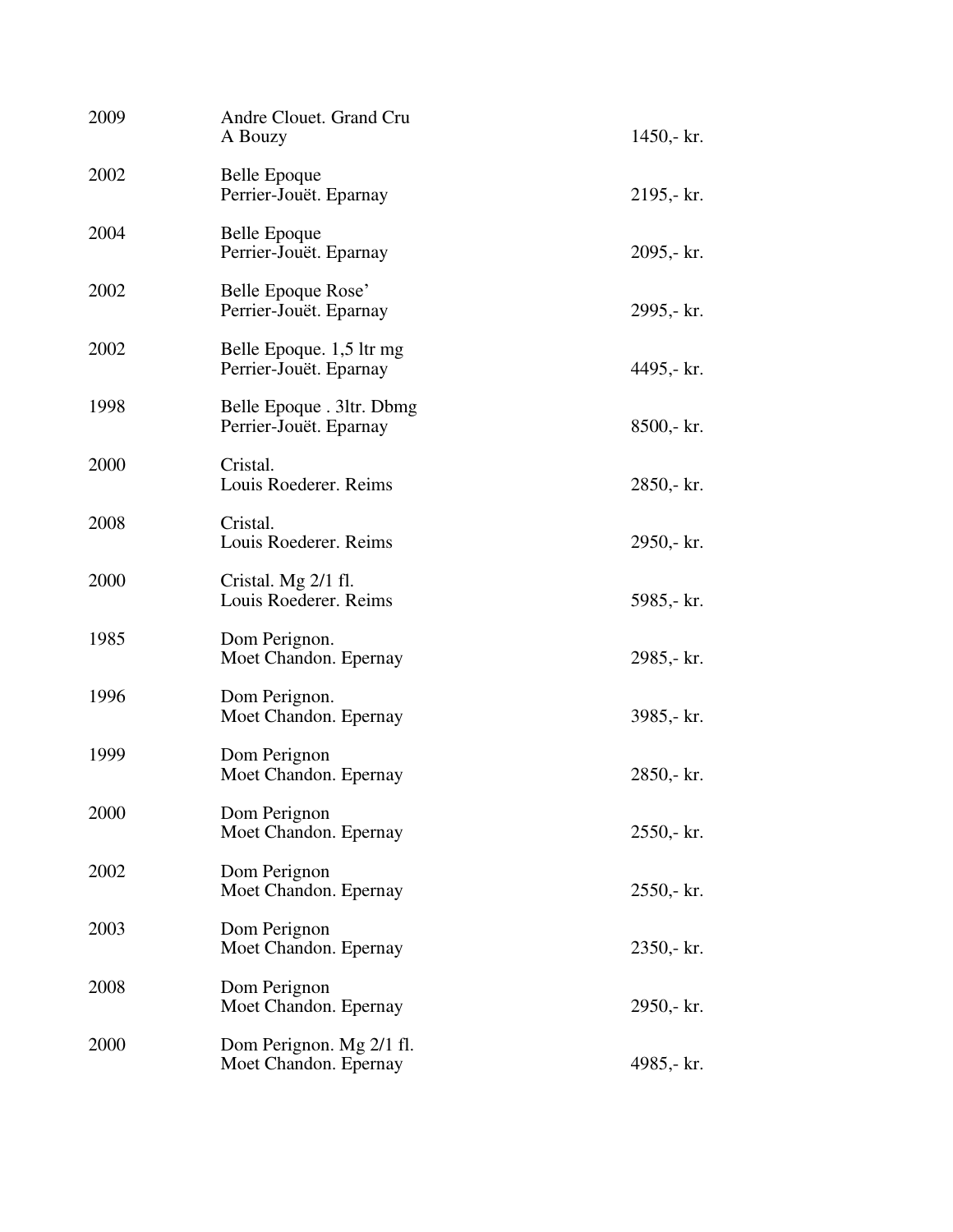| 2009 | Andre Clouet. Grand Cru<br>A Bouzy                  | 1450,- $kr.$ |
|------|-----------------------------------------------------|--------------|
| 2002 | Belle Epoque<br>Perrier-Jouët. Eparnay              | 2195,- kr.   |
| 2004 | Belle Epoque<br>Perrier-Jouët. Eparnay              | 2095,- kr.   |
| 2002 | Belle Epoque Rose'<br>Perrier-Jouët. Eparnay        | 2995,- kr.   |
| 2002 | Belle Epoque. 1,5 ltr mg<br>Perrier-Jouët. Eparnay  | 4495,- kr.   |
| 1998 | Belle Epoque . 3ltr. Dbmg<br>Perrier-Jouët. Eparnay | 8500,- kr.   |
| 2000 | Cristal.<br>Louis Roederer. Reims                   | 2850,- kr.   |
| 2008 | Cristal.<br>Louis Roederer. Reims                   | 2950,- kr.   |
| 2000 | Cristal. Mg 2/1 fl.<br>Louis Roederer. Reims        | 5985,- kr.   |
| 1985 | Dom Perignon.<br>Moet Chandon. Epernay              | 2985,- kr.   |
| 1996 | Dom Perignon.<br>Moet Chandon. Epernay              | 3985,- kr.   |
| 1999 | Dom Perignon<br>Moet Chandon. Epernay               | 2850,- kr.   |
| 2000 | Dom Perignon<br>Moet Chandon. Epernay               | 2550,- kr.   |
| 2002 | Dom Perignon<br>Moet Chandon. Epernay               | $2550 - kr.$ |
| 2003 | Dom Perignon<br>Moet Chandon. Epernay               | 2350,- kr.   |
| 2008 | Dom Perignon<br>Moet Chandon. Epernay               | 2950,- kr.   |
| 2000 | Dom Perignon. Mg 2/1 fl.<br>Moet Chandon. Epernay   | 4985,- kr.   |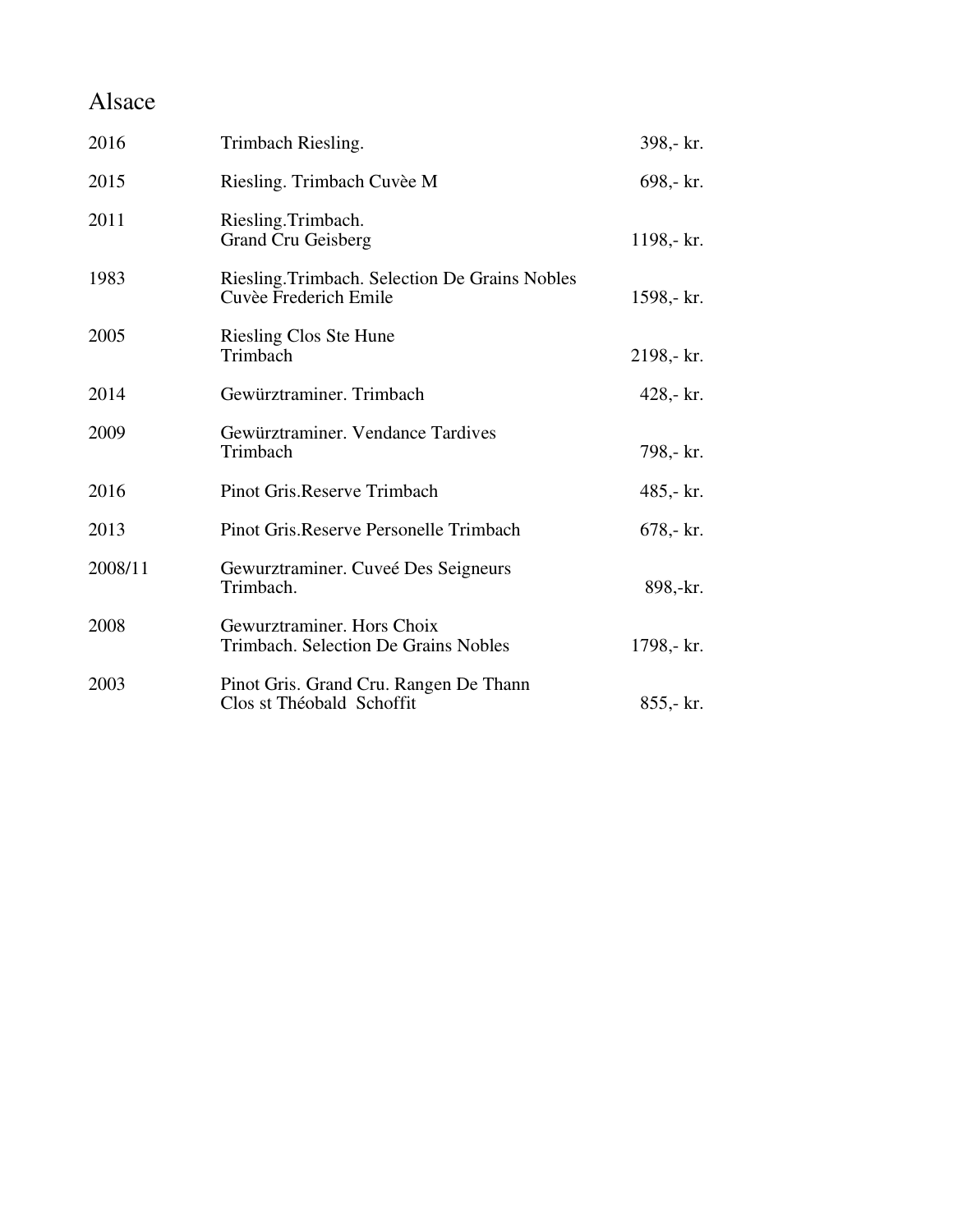### Alsace

| 2016    | Trimbach Riesling.                                                      | 398,- kr.   |
|---------|-------------------------------------------------------------------------|-------------|
| 2015    | Riesling. Trimbach Cuvèe M                                              | 698,- kr.   |
| 2011    | Riesling.Trimbach.<br><b>Grand Cru Geisberg</b>                         | 1198,- kr.  |
| 1983    | Riesling. Trimbach. Selection De Grains Nobles<br>Cuvèe Frederich Emile | 1598,- kr.  |
| 2005    | Riesling Clos Ste Hune<br>Trimbach                                      | 2198,- kr.  |
| 2014    | Gewürztraminer. Trimbach                                                | 428,- $kr.$ |
| 2009    | Gewürztraminer. Vendance Tardives<br>Trimbach                           | 798,- kr.   |
| 2016    | Pinot Gris.Reserve Trimbach                                             | 485,- $kr.$ |
| 2013    | Pinot Gris. Reserve Personelle Trimbach                                 | $678 - kr.$ |
| 2008/11 | Gewurztraminer. Cuveé Des Seigneurs<br>Trimbach.                        | 898,-kr.    |
| 2008    | Gewurztraminer. Hors Choix<br>Trimbach. Selection De Grains Nobles      | 1798,- kr.  |
| 2003    | Pinot Gris. Grand Cru. Rangen De Thann<br>Clos st Théobald Schoffit     | $855 - kr.$ |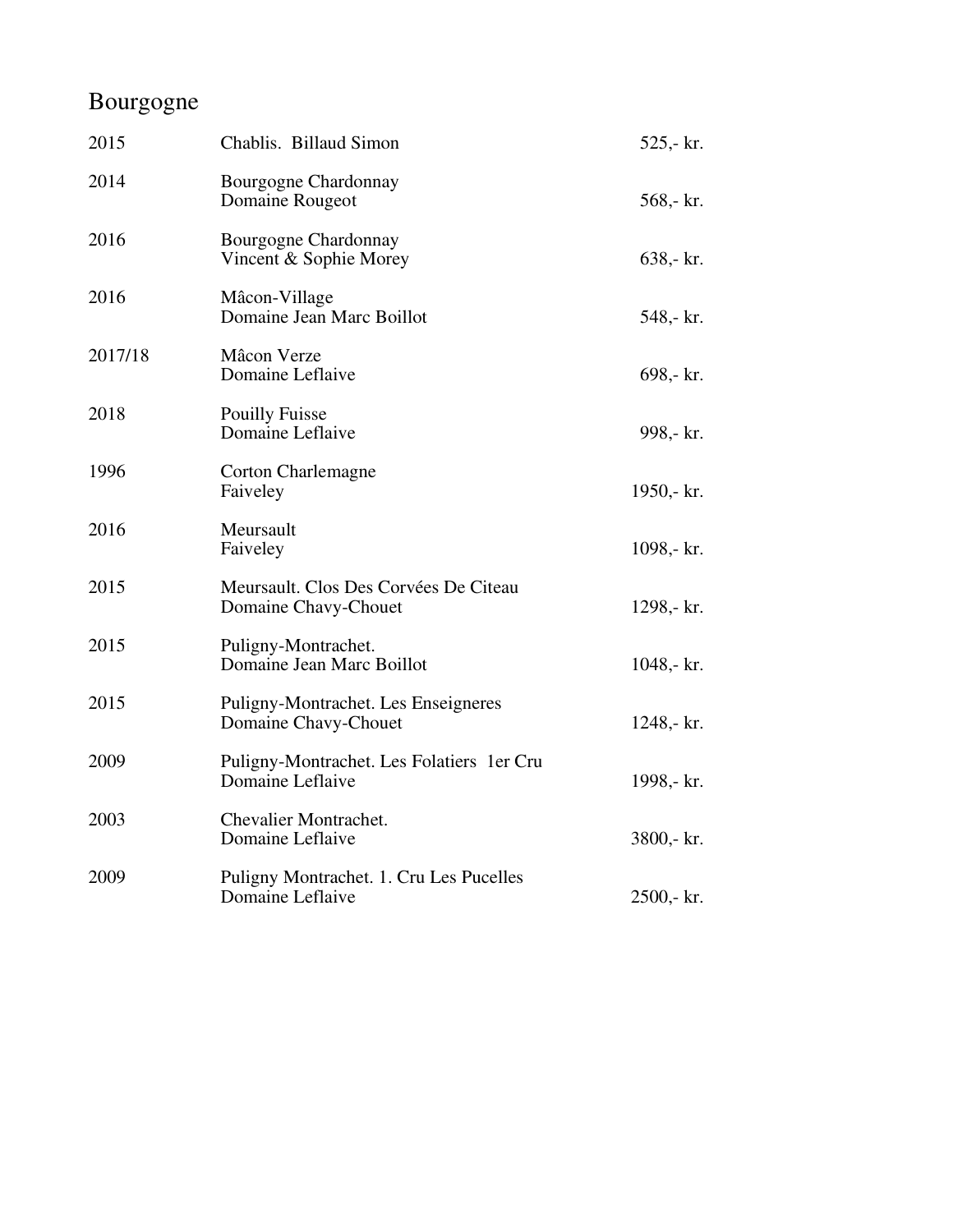## Bourgogne

| 2015    | Chablis. Billaud Simon                                         | $525 - kr.$    |
|---------|----------------------------------------------------------------|----------------|
| 2014    | Bourgogne Chardonnay<br>Domaine Rougeot                        | 568,- kr.      |
| 2016    | Bourgogne Chardonnay<br>Vincent & Sophie Morey                 | $638 - kr.$    |
| 2016    | Mâcon-Village<br>Domaine Jean Marc Boillot                     | 548,- kr.      |
| 2017/18 | Mâcon Verze<br>Domaine Leflaive                                | $698 - kr.$    |
| 2018    | <b>Pouilly Fuisse</b><br>Domaine Leflaive                      | 998,- kr.      |
| 1996    | <b>Corton Charlemagne</b><br>Faiveley                          | 1950,- $kr.$   |
| 2016    | Meursault<br>Faiveley                                          | 1098,- kr.     |
| 2015    | Meursault. Clos Des Corvées De Citeau<br>Domaine Chavy-Chouet  | 1298,- kr.     |
| 2015    | Puligny-Montrachet.<br>Domaine Jean Marc Boillot               | 1048,- $kr.$   |
| 2015    | Puligny-Montrachet. Les Enseigneres<br>Domaine Chavy-Chouet    | 1248,- kr.     |
| 2009    | Puligny-Montrachet. Les Folatiers 1 er Cru<br>Domaine Leflaive | 1998,- kr.     |
| 2003    | Chevalier Montrachet.<br>Domaine Leflaive                      | 3800,- kr.     |
| 2009    | Puligny Montrachet. 1. Cru Les Pucelles<br>Domaine Leflaive    | $2500 - k r$ . |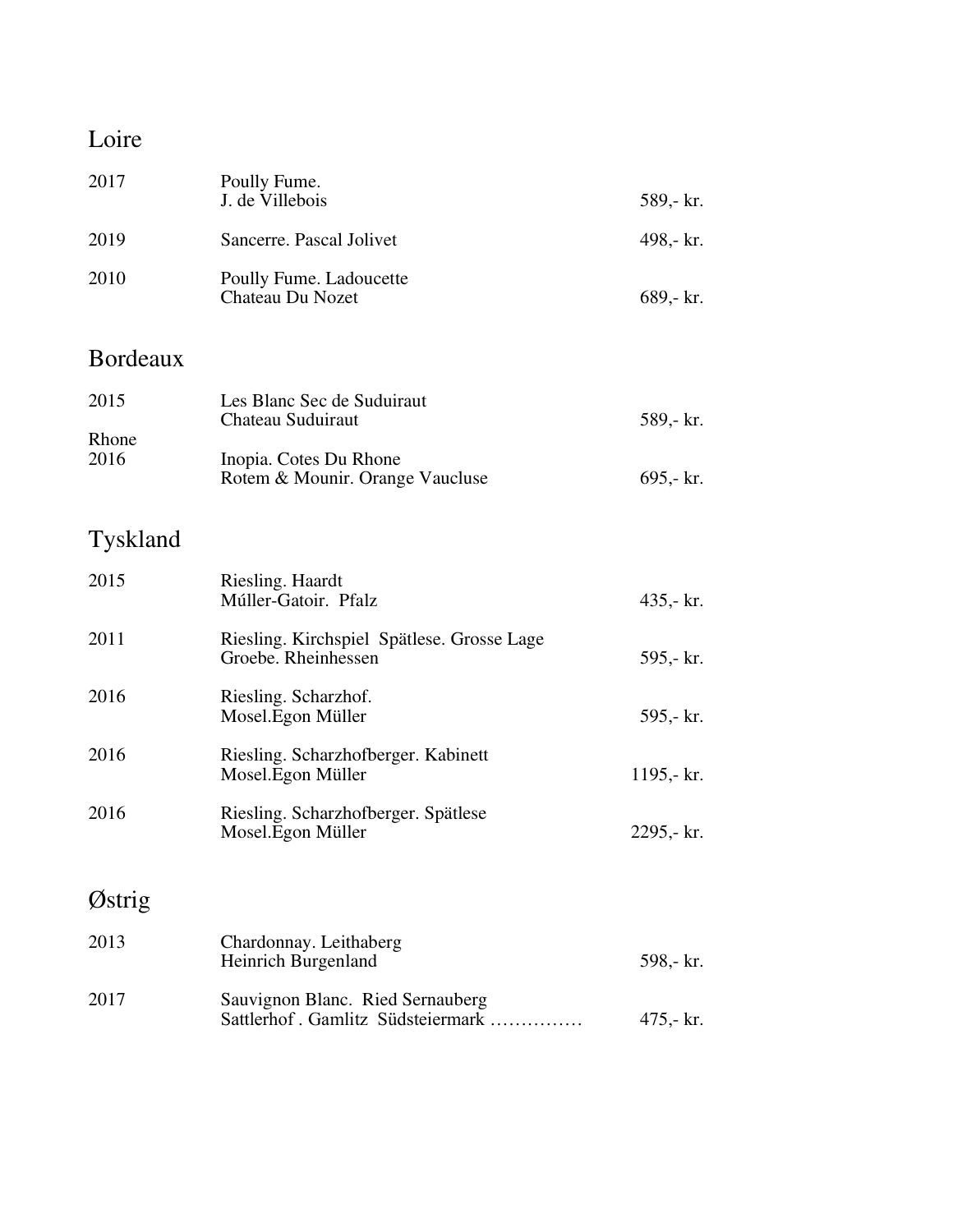#### Loire

| 2017                  | Poully Fume.<br>J. de Villebois                                                                              | 589,- kr.                |
|-----------------------|--------------------------------------------------------------------------------------------------------------|--------------------------|
| 2019                  | Sancerre. Pascal Jolivet                                                                                     | 498,- kr.                |
| 2010                  | Poully Fume. Ladoucette<br>Chateau Du Nozet                                                                  | 689,- kr.                |
| <b>Bordeaux</b>       |                                                                                                              |                          |
| 2015<br>Rhone<br>2016 | Les Blanc Sec de Suduiraut<br>Chateau Suduiraut<br>Inopia. Cotes Du Rhone<br>Rotem & Mounir. Orange Vaucluse | 589,- kr.<br>$695 - kr.$ |
| Tyskland              |                                                                                                              |                          |

### 2015 Riesling. Haardt Múller-Gatoir. Pfalz 435,- kr. 2011 Riesling. Kirchspiel Spätlese. Grosse Lage Groebe. Rheinhessen 595,- kr. 2016 Riesling. Scharzhof. Mosel.Egon Müller 595,- kr. 2016 Riesling. Scharzhofberger. Kabinett Mosel.Egon Müller 1195,- kr. 2016 Riesling. Scharzhofberger. Spätlese Mosel.Egon Müller 2295,- kr. Østrig

| 2013 | Chardonnay. Leithaberg<br>Heinrich Burgenland                          | 598,- kr. |
|------|------------------------------------------------------------------------|-----------|
| 2017 | Sauvignon Blanc. Ried Sernauberg<br>Sattlerhof . Gamlitz Südsteiermark | 475.- kr. |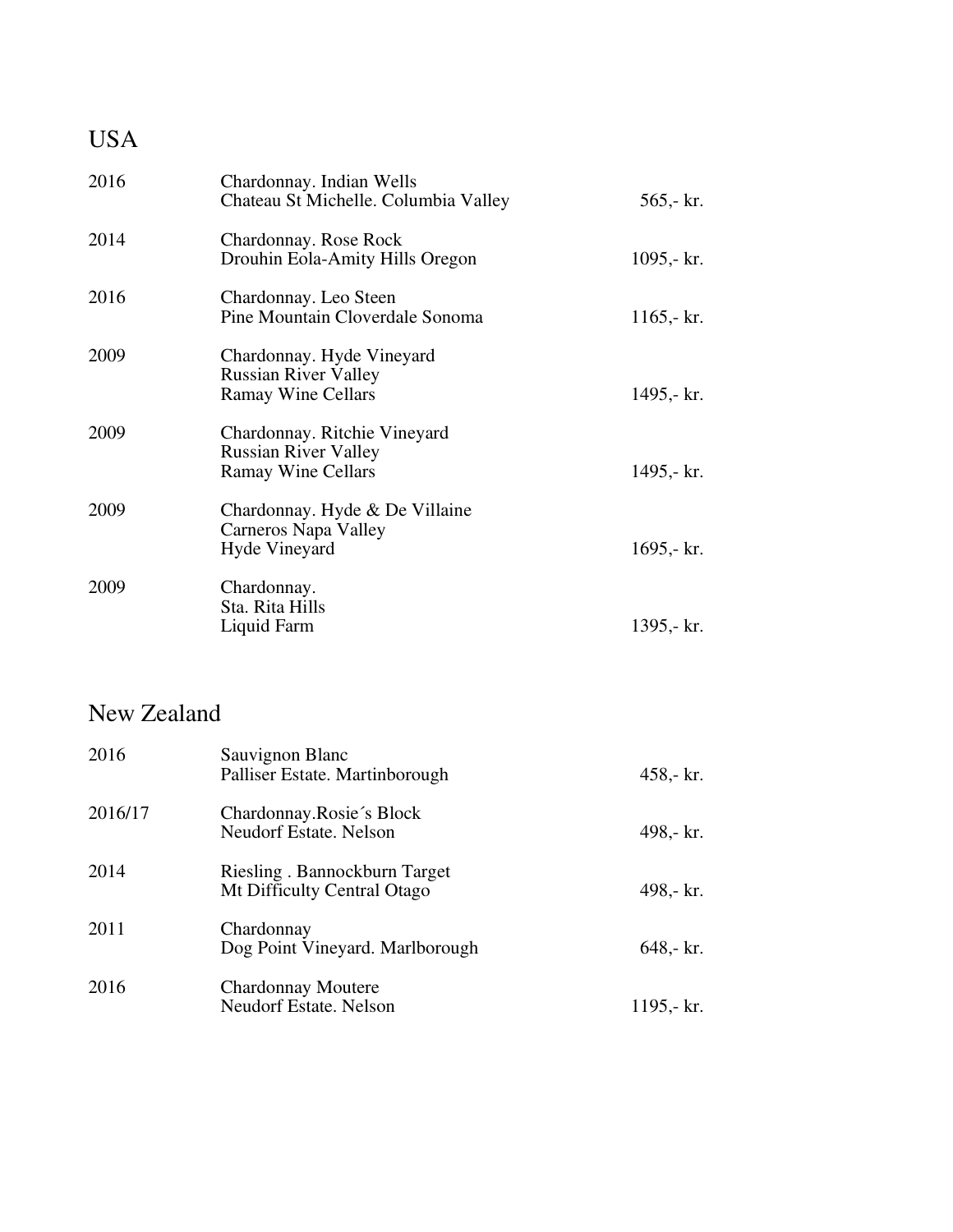| <b>USA</b> |                                                                                          |               |
|------------|------------------------------------------------------------------------------------------|---------------|
| 2016       | Chardonnay. Indian Wells<br>Chateau St Michelle. Columbia Valley                         | $565 - k r$ . |
| 2014       | Chardonnay. Rose Rock<br>Drouhin Eola-Amity Hills Oregon                                 | 1095,- $kr.$  |
| 2016       | Chardonnay. Leo Steen<br>Pine Mountain Cloverdale Sonoma                                 | 1165,- $kr.$  |
| 2009       | Chardonnay. Hyde Vineyard<br><b>Russian River Valley</b><br><b>Ramay Wine Cellars</b>    | 1495,- kr.    |
| 2009       | Chardonnay. Ritchie Vineyard<br><b>Russian River Valley</b><br><b>Ramay Wine Cellars</b> | 1495,- kr.    |
| 2009       | Chardonnay. Hyde & De Villaine<br><b>Carneros Napa Valley</b><br><b>Hyde Vineyard</b>    | 1695,- $kr.$  |
| 2009       | Chardonnay.<br>Sta. Rita Hills<br>Liquid Farm                                            | 1395,- kr.    |

### New Zealand

| 2016    | Sauvignon Blanc<br>Palliser Estate. Martinborough           | $458 - kr.$  |
|---------|-------------------------------------------------------------|--------------|
| 2016/17 | Chardonnay.Rosie's Block<br><b>Neudorf Estate, Nelson</b>   | 498,- kr.    |
| 2014    | Riesling. Bannockburn Target<br>Mt Difficulty Central Otago | 498,- kr.    |
| 2011    | Chardonnay<br>Dog Point Vineyard. Marlborough               | $648 - kr.$  |
| 2016    | <b>Chardonnay Moutere</b><br><b>Neudorf Estate. Nelson</b>  | 1195,- $kr.$ |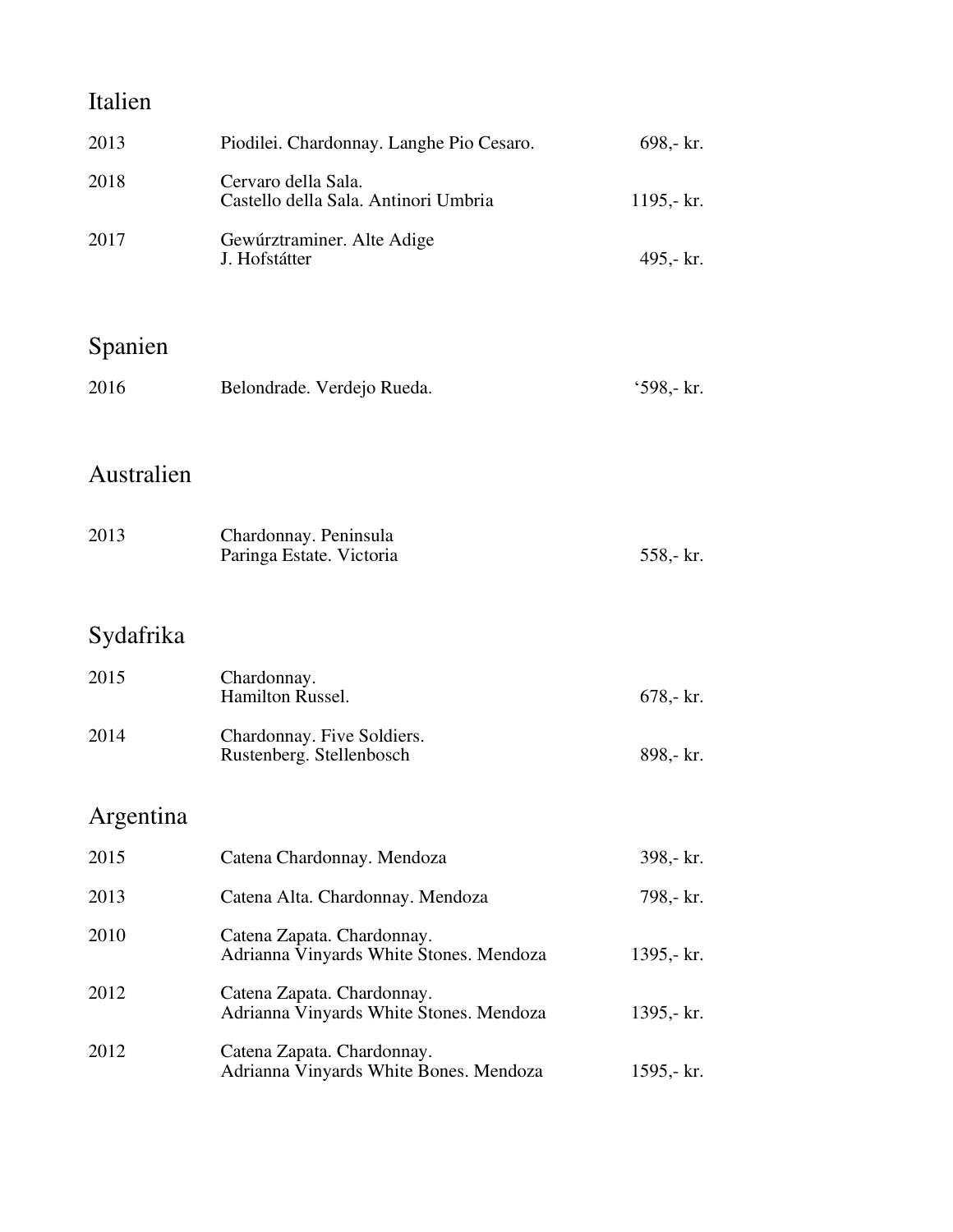| Italien    |                                                                       |              |
|------------|-----------------------------------------------------------------------|--------------|
| 2013       | Piodilei. Chardonnay. Langhe Pio Cesaro.                              | 698,- kr.    |
| 2018       | Cervaro della Sala.<br>Castello della Sala. Antinori Umbria           | 1195,- $kr.$ |
| 2017       | Gewúrztraminer. Alte Adige<br>J. Hofstátter                           | 495,- kr.    |
| Spanien    |                                                                       |              |
| 2016       | Belondrade. Verdejo Rueda.                                            | '598,- kr.   |
| Australien |                                                                       |              |
| 2013       | Chardonnay. Peninsula<br>Paringa Estate. Victoria                     | 558,- kr.    |
| Sydafrika  |                                                                       |              |
| 2015       | Chardonnay.<br>Hamilton Russel.                                       | $678 - kr.$  |
| 2014       | Chardonnay. Five Soldiers.<br>Rustenberg. Stellenbosch                | 898,- kr.    |
| Argentina  |                                                                       |              |
| 2015       | Catena Chardonnay. Mendoza                                            | 398,- kr.    |
| 2013       | Catena Alta. Chardonnay. Mendoza                                      | 798,- kr.    |
| 2010       | Catena Zapata. Chardonnay.<br>Adrianna Vinyards White Stones. Mendoza | 1395,- $kr.$ |
| 2012       | Catena Zapata. Chardonnay.<br>Adrianna Vinyards White Stones. Mendoza | 1395,- $kr.$ |
| 2012       | Catena Zapata. Chardonnay.<br>Adrianna Vinyards White Bones. Mendoza  | 1595,- $kr.$ |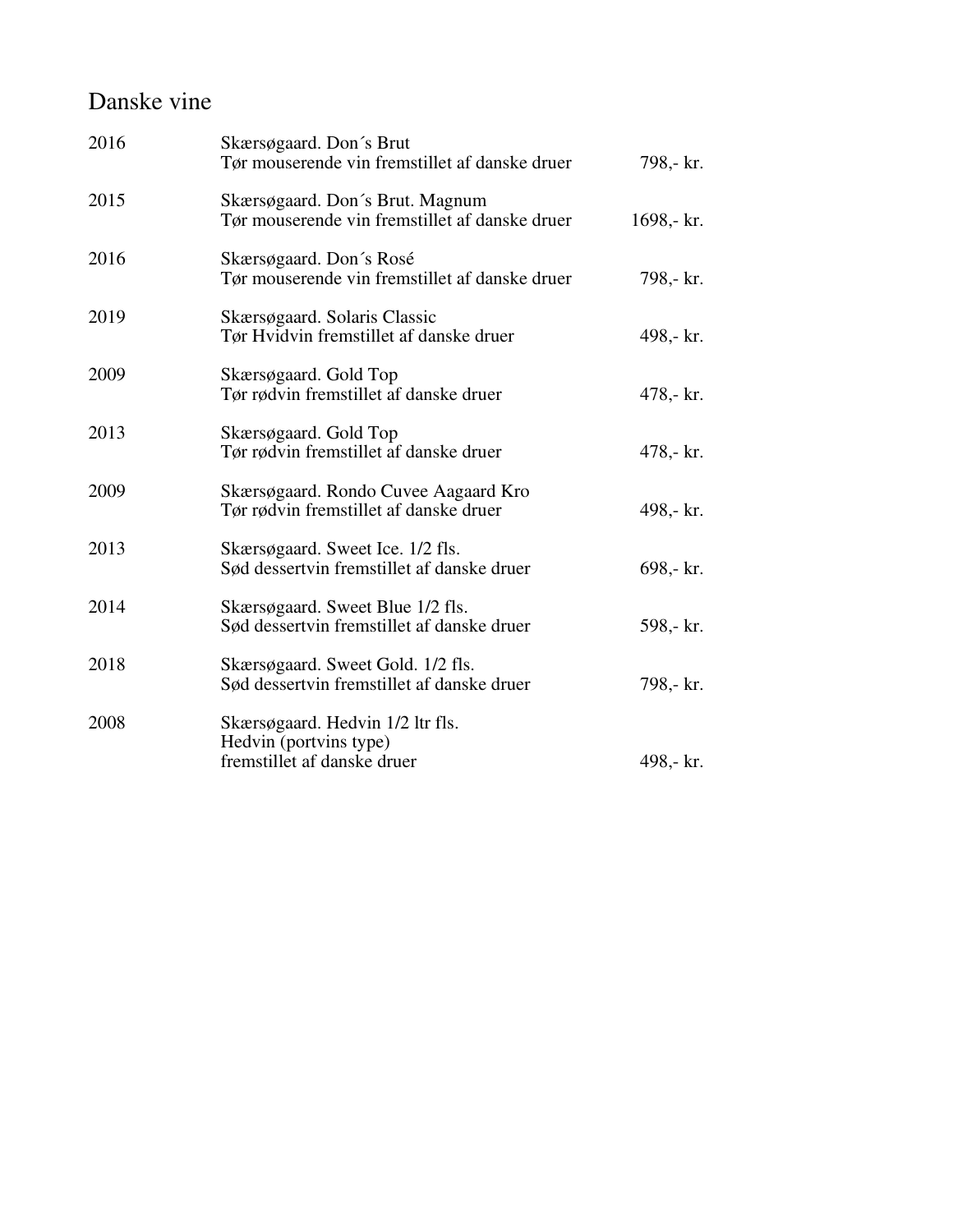#### Danske vine

| 2016 | Skærsøgaard. Don's Brut<br>Tør mouserende vin fremstillet af danske druer                 | 798,- kr.   |
|------|-------------------------------------------------------------------------------------------|-------------|
| 2015 | Skærsøgaard. Don's Brut. Magnum<br>Tør mouserende vin fremstillet af danske druer         | 1698,- kr.  |
| 2016 | Skærsøgaard. Don's Rosé<br>Tør mouserende vin fremstillet af danske druer                 | 798,- kr.   |
| 2019 | Skærsøgaard. Solaris Classic<br>Tør Hvidvin fremstillet af danske druer                   | 498,- kr.   |
| 2009 | Skærsøgaard. Gold Top<br>Tør rødvin fremstillet af danske druer                           | $478 - kr.$ |
| 2013 | Skærsøgaard. Gold Top<br>Tør rødvin fremstillet af danske druer                           | $478 - kr.$ |
| 2009 | Skærsøgaard. Rondo Cuvee Aagaard Kro<br>Tør rødvin fremstillet af danske druer            | 498,- kr.   |
| 2013 | Skærsøgaard. Sweet Ice. 1/2 fls.<br>Sød dessertvin fremstillet af danske druer            | 698,- kr.   |
| 2014 | Skærsøgaard. Sweet Blue 1/2 fls.<br>Sød dessertvin fremstillet af danske druer            | 598,- kr.   |
| 2018 | Skærsøgaard. Sweet Gold. 1/2 fls.<br>Sød dessertvin fremstillet af danske druer           | 798,- kr.   |
| 2008 | Skærsøgaard. Hedvin 1/2 ltr fls.<br>Hedvin (portvins type)<br>fremstillet af danske druer | 498,- kr.   |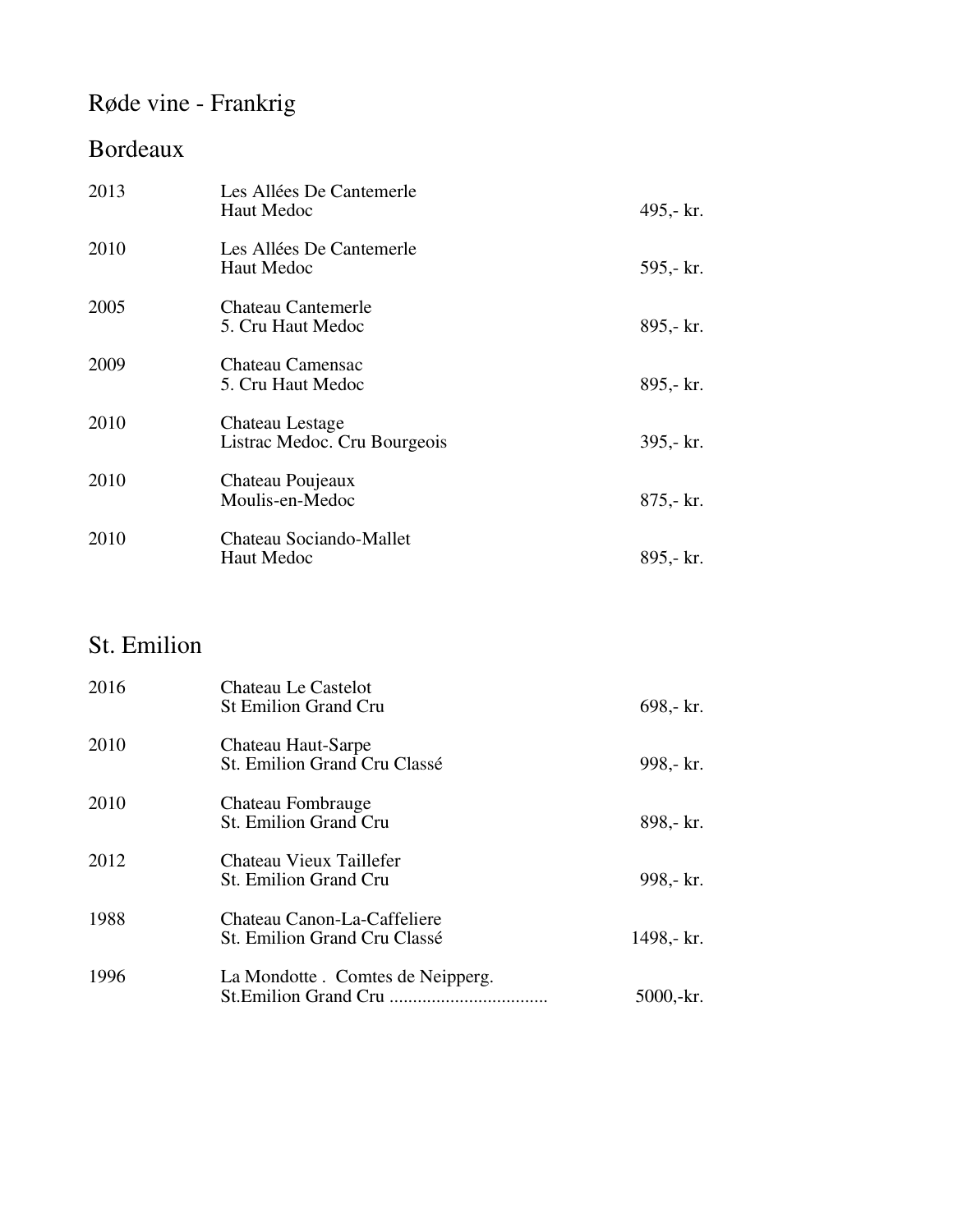## Røde vine - Frankrig

### Bordeaux

| 2013 | Les Allées De Cantemerle<br>Haut Medoc          | 495,- kr.    |
|------|-------------------------------------------------|--------------|
| 2010 | Les Allées De Cantemerle<br>Haut Medoc          | 595,- kr.    |
| 2005 | <b>Chateau Cantemerle</b><br>5. Cru Haut Medoc  | 895,- kr.    |
| 2009 | Chateau Camensac<br>5. Cru Haut Medoc           | 895,- kr.    |
| 2010 | Chateau Lestage<br>Listrac Medoc. Cru Bourgeois | $395 - kr.$  |
| 2010 | Chateau Poujeaux<br>Moulis-en-Medoc             | $875 - kr$ . |
| 2010 | Chateau Sociando-Mallet<br>Haut Medoc           | 895,- kr.    |

### St. Emilion

| 2016 | Chateau Le Castelot<br><b>St Emilion Grand Cru</b>          | 698,- kr.  |
|------|-------------------------------------------------------------|------------|
| 2010 | Chateau Haut-Sarpe<br>St. Emilion Grand Cru Classé          | 998,- kr.  |
| 2010 | Chateau Fombrauge<br>St. Emilion Grand Cru                  | 898,- kr.  |
| 2012 | Chateau Vieux Taillefer<br><b>St. Emilion Grand Cru</b>     | 998,- kr.  |
| 1988 | Chateau Canon-La-Caffeliere<br>St. Emilion Grand Cru Classé | 1498,- kr. |
| 1996 | La Mondotte . Comtes de Neipperg.                           | 5000,-kr.  |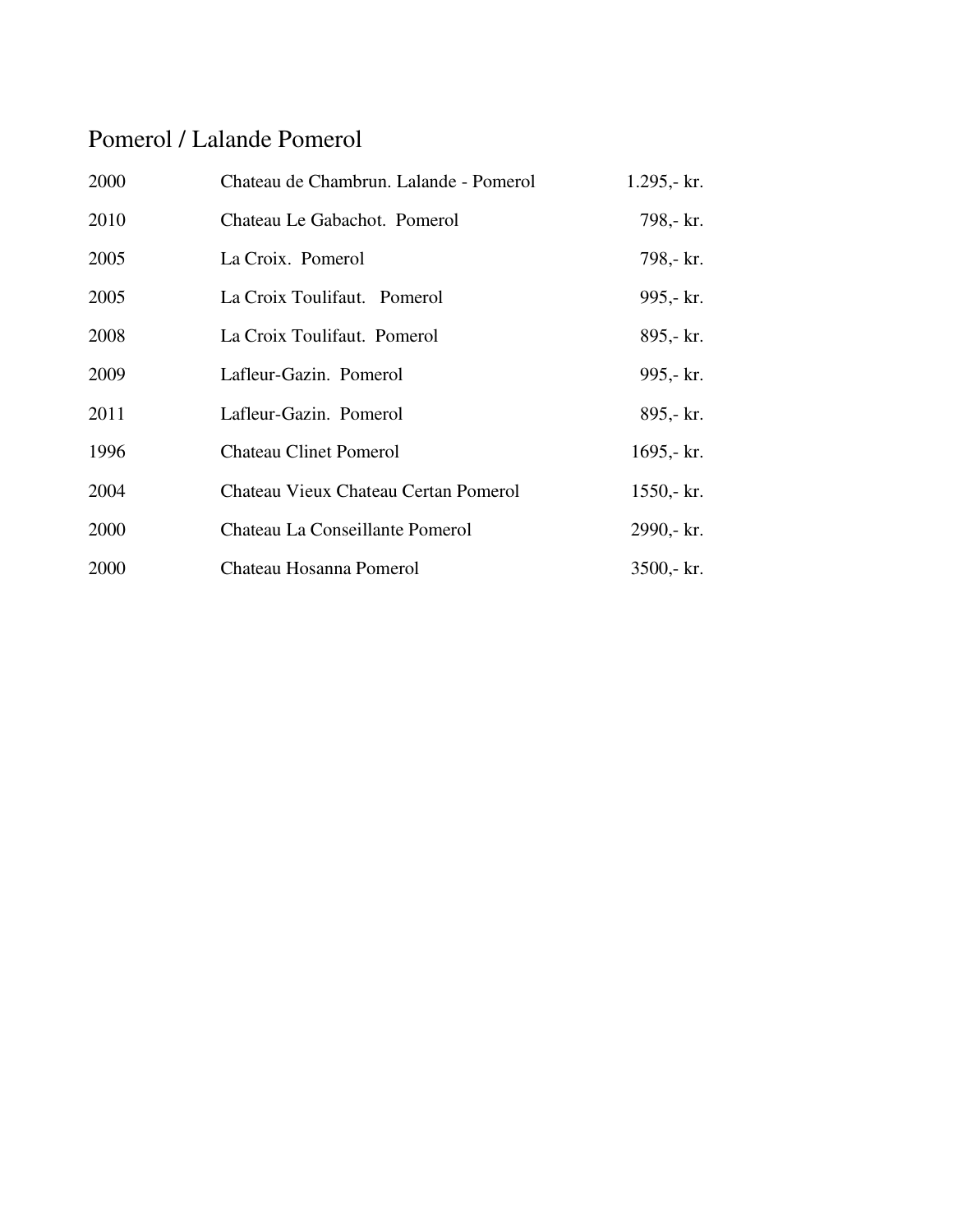### Pomerol / Lalande Pomerol

| 2000 | Chateau de Chambrun. Lalande - Pomerol | $1.295 - kr.$  |
|------|----------------------------------------|----------------|
| 2010 | Chateau Le Gabachot. Pomerol           | 798,- kr.      |
| 2005 | La Croix. Pomerol                      | 798,- kr.      |
| 2005 | La Croix Toulifaut. Pomerol            | 995,- kr.      |
| 2008 | La Croix Toulifaut. Pomerol            | 895,- kr.      |
| 2009 | Lafleur-Gazin. Pomerol                 | 995,- kr.      |
| 2011 | Lafleur-Gazin. Pomerol                 | 895,- kr.      |
| 1996 | <b>Chateau Clinet Pomerol</b>          | 1695,- $kr.$   |
| 2004 | Chateau Vieux Chateau Certan Pomerol   | $1550 - kr.$   |
| 2000 | Chateau La Conseillante Pomerol        | 2990,- kr.     |
| 2000 | Chateau Hosanna Pomerol                | $3500 - k r$ . |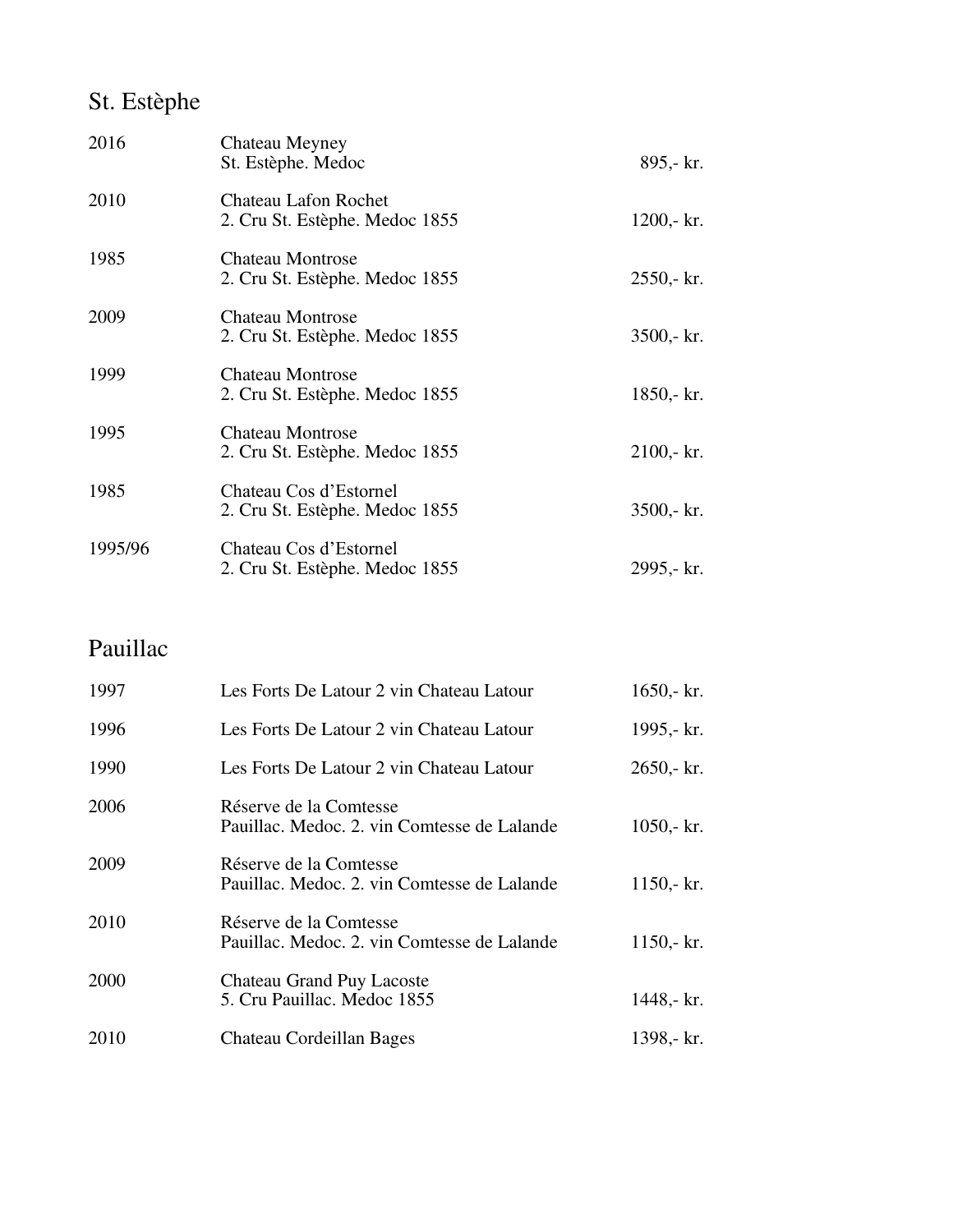## St. Estèphe

| 2016    | Chateau Meyney<br>St. Estèphe. Medoc                          | 895,- kr.      |
|---------|---------------------------------------------------------------|----------------|
| 2010    | <b>Chateau Lafon Rochet</b><br>2. Cru St. Estèphe. Medoc 1855 | $1200 - kr.$   |
| 1985    | <b>Chateau Montrose</b><br>2. Cru St. Estèphe. Medoc 1855     | $2550 - kr.$   |
| 2009    | Chateau Montrose<br>2. Cru St. Estèphe. Medoc 1855            | $3500 - k r$ . |
| 1999    | <b>Chateau Montrose</b><br>2. Cru St. Estèphe. Medoc 1855     | $1850 - kr.$   |
| 1995    | <b>Chateau Montrose</b><br>2. Cru St. Estèphe. Medoc 1855     | $2100 - kr.$   |
| 1985    | Chateau Cos d'Estornel<br>2. Cru St. Estèphe. Medoc 1855      | $3500 - k r$ . |
| 1995/96 | Chateau Cos d'Estornel<br>2. Cru St. Estèphe. Medoc 1855      | 2995,- kr.     |

### Pauillac

| 1997 | Les Forts De Latour 2 vin Chateau Latour                              | $1650 - k$ r.  |
|------|-----------------------------------------------------------------------|----------------|
| 1996 | Les Forts De Latour 2 vin Chateau Latour                              | 1995,- kr.     |
| 1990 | Les Forts De Latour 2 vin Chateau Latour                              | $2650 - kr.$   |
| 2006 | Réserve de la Comtesse<br>Pauillac. Medoc. 2. vin Comtesse de Lalande | $1050 - k r$ . |
| 2009 | Réserve de la Comtesse<br>Pauillac. Medoc. 2. vin Comtesse de Lalande | $1150 - kr.$   |
| 2010 | Réserve de la Comtesse<br>Pauillac. Medoc. 2. vin Comtesse de Lalande | $1150 - kr.$   |
| 2000 | <b>Chateau Grand Puy Lacoste</b><br>5. Cru Pauillac. Medoc 1855       | 1448,- kr.     |
| 2010 | Chateau Cordeillan Bages                                              | 1398, kr.      |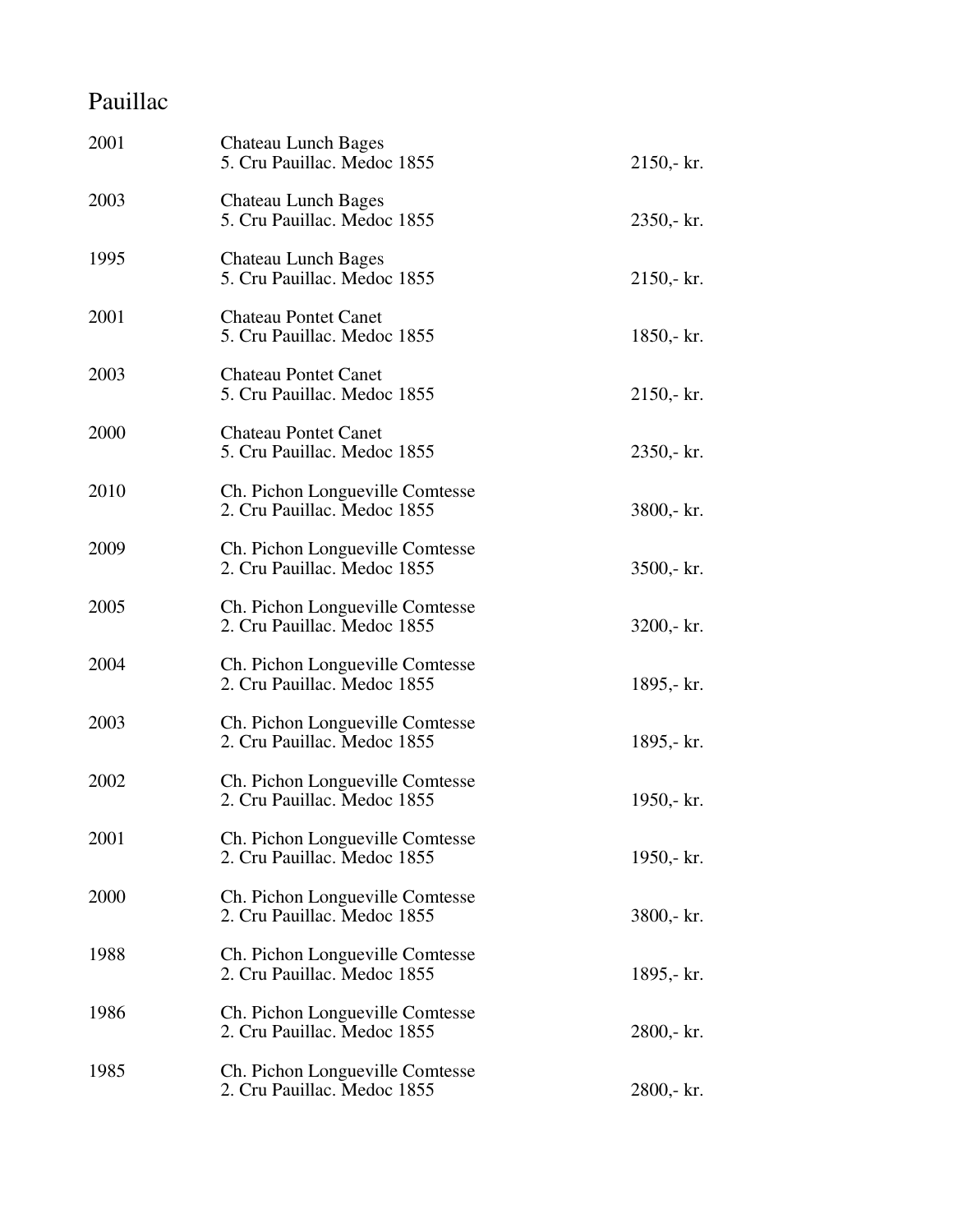## Pauillac

| 2001 | <b>Chateau Lunch Bages</b><br>5. Cru Pauillac. Medoc 1855      | $2150 - kr.$   |
|------|----------------------------------------------------------------|----------------|
| 2003 | Chateau Lunch Bages<br>5. Cru Pauillac. Medoc 1855             | 2350,- kr.     |
| 1995 | <b>Chateau Lunch Bages</b><br>5. Cru Pauillac. Medoc 1855      | $2150 - kr.$   |
| 2001 | <b>Chateau Pontet Canet</b><br>5. Cru Pauillac. Medoc 1855     | 1850,- kr.     |
| 2003 | <b>Chateau Pontet Canet</b><br>5. Cru Pauillac. Medoc 1855     | $2150 - k r$ . |
| 2000 | <b>Chateau Pontet Canet</b><br>5. Cru Pauillac. Medoc 1855     | $2350 - k r$ . |
| 2010 | Ch. Pichon Longueville Comtesse<br>2. Cru Pauillac. Medoc 1855 | $3800 - k r$ . |
| 2009 | Ch. Pichon Longueville Comtesse<br>2. Cru Pauillac. Medoc 1855 | $3500 - k r$ . |
| 2005 | Ch. Pichon Longueville Comtesse<br>2. Cru Pauillac. Medoc 1855 | $3200 - k r$ . |
| 2004 | Ch. Pichon Longueville Comtesse<br>2. Cru Pauillac. Medoc 1855 | 1895,- kr.     |
| 2003 | Ch. Pichon Longueville Comtesse<br>2. Cru Pauillac. Medoc 1855 | 1895,- kr.     |
| 2002 | Ch. Pichon Longueville Comtesse<br>2. Cru Pauillac. Medoc 1855 | 1950,- $kr.$   |
| 2001 | Ch. Pichon Longueville Comtesse<br>2. Cru Pauillac. Medoc 1855 | 1950,- kr.     |
| 2000 | Ch. Pichon Longueville Comtesse<br>2. Cru Pauillac. Medoc 1855 | $3800 - k r$ . |
| 1988 | Ch. Pichon Longueville Comtesse<br>2. Cru Pauillac. Medoc 1855 | 1895,- kr.     |
| 1986 | Ch. Pichon Longueville Comtesse<br>2. Cru Pauillac. Medoc 1855 | 2800,- kr.     |
| 1985 | Ch. Pichon Longueville Comtesse<br>2. Cru Pauillac. Medoc 1855 | 2800,- kr.     |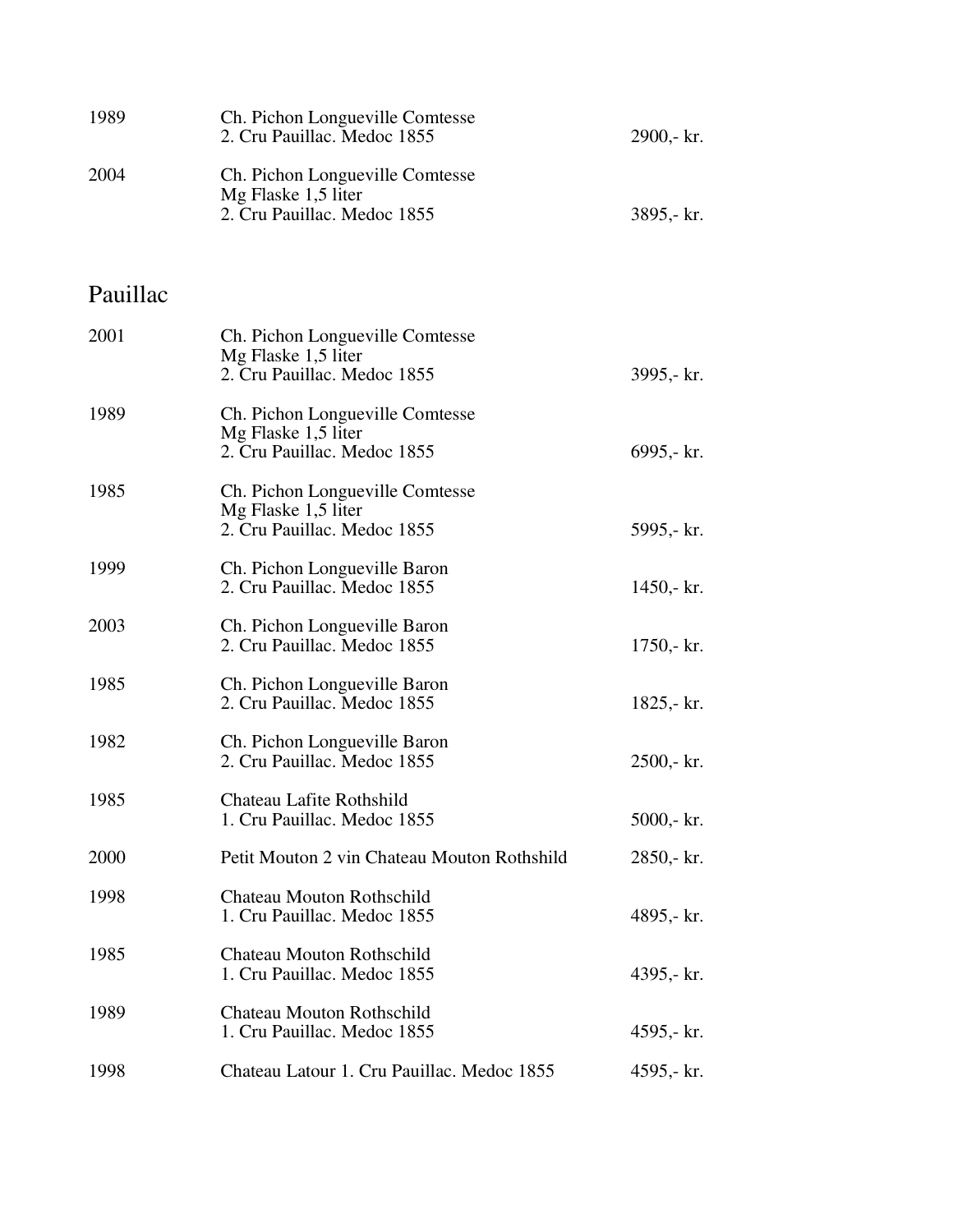| 1989     | Ch. Pichon Longueville Comtesse<br>2. Cru Pauillac. Medoc 1855                        | 2900,- kr.     |
|----------|---------------------------------------------------------------------------------------|----------------|
| 2004     | Ch. Pichon Longueville Comtesse<br>Mg Flaske 1,5 liter<br>2. Cru Pauillac. Medoc 1855 | 3895,- kr.     |
| Pauillac |                                                                                       |                |
| 2001     | Ch. Pichon Longueville Comtesse<br>Mg Flaske 1,5 liter<br>2. Cru Pauillac. Medoc 1855 | 3995,- kr.     |
| 1989     | Ch. Pichon Longueville Comtesse<br>Mg Flaske 1,5 liter<br>2. Cru Pauillac. Medoc 1855 | 6995,- kr.     |
| 1985     | Ch. Pichon Longueville Comtesse<br>Mg Flaske 1,5 liter<br>2. Cru Pauillac. Medoc 1855 | 5995,- kr.     |
| 1999     | Ch. Pichon Longueville Baron<br>2. Cru Pauillac. Medoc 1855                           | $1450 - k r$ . |
| 2003     | Ch. Pichon Longueville Baron<br>2. Cru Pauillac. Medoc 1855                           | $1750 - kr.$   |
| 1985     | Ch. Pichon Longueville Baron<br>2. Cru Pauillac. Medoc 1855                           | 1825,- $kr.$   |
| 1982     | Ch. Pichon Longueville Baron<br>2. Cru Pauillac. Medoc 1855                           | $2500 - k r$ . |
| 1985     | Chateau Lafite Rothshild<br>1. Cru Pauillac. Medoc 1855                               | $5000 - kr.$   |
| 2000     | Petit Mouton 2 vin Chateau Mouton Rothshild                                           | 2850,- kr.     |
| 1998     | <b>Chateau Mouton Rothschild</b><br>1. Cru Pauillac. Medoc 1855                       | 4895,- kr.     |
| 1985     | <b>Chateau Mouton Rothschild</b><br>1. Cru Pauillac. Medoc 1855                       | 4395,- kr.     |
| 1989     | <b>Chateau Mouton Rothschild</b><br>1. Cru Pauillac. Medoc 1855                       | 4595,- $kr.$   |
| 1998     | Chateau Latour 1. Cru Pauillac. Medoc 1855                                            | 4595,- kr.     |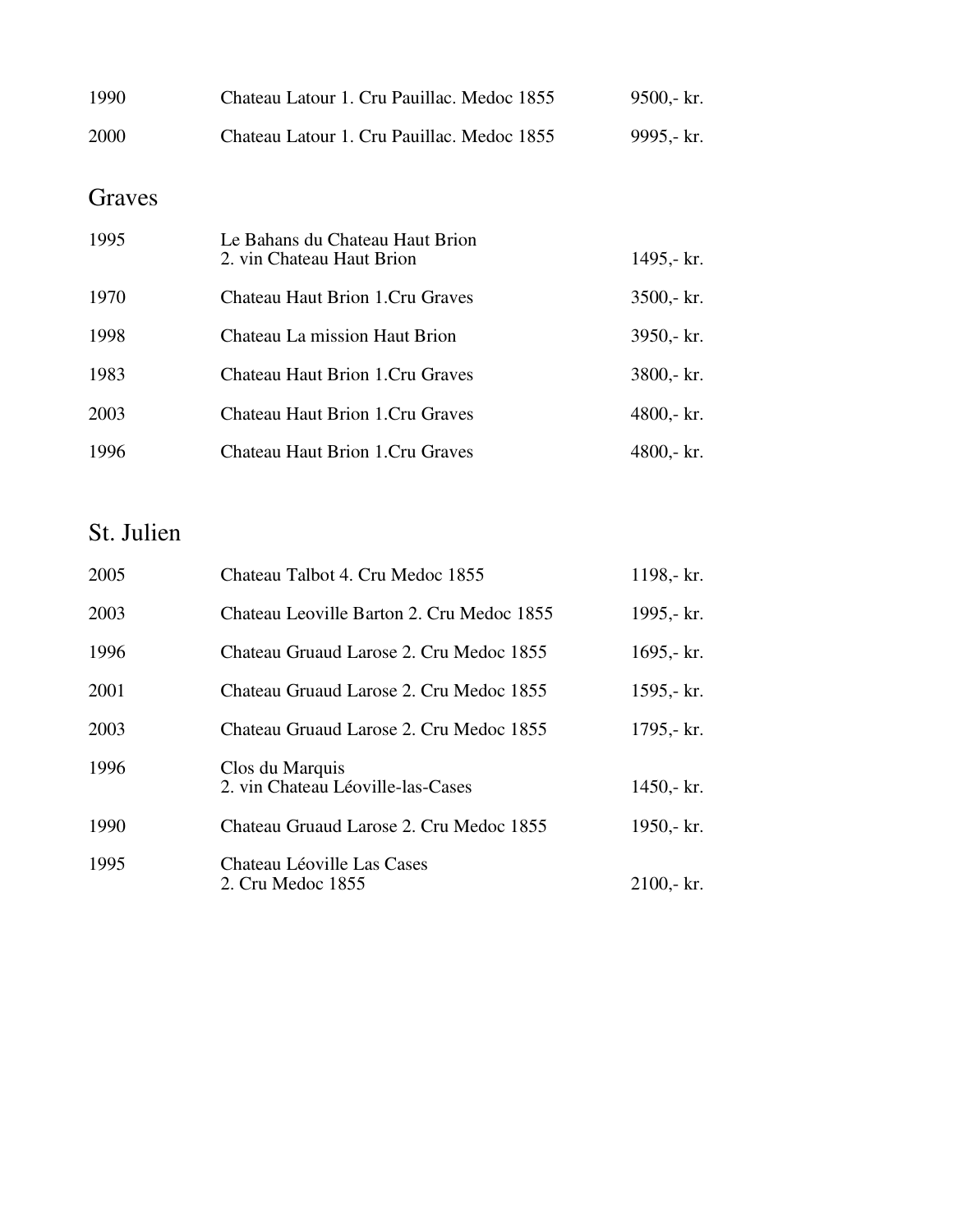| 1990   | Chateau Latour 1. Cru Pauillac. Medoc 1855                   | $9500 - k$ r.  |
|--------|--------------------------------------------------------------|----------------|
| 2000   | Chateau Latour 1. Cru Pauillac. Medoc 1855                   | 9995,- kr.     |
| Graves |                                                              |                |
| 1995   | Le Bahans du Chateau Haut Brion<br>2. vin Chateau Haut Brion | 1495,- kr.     |
| 1970   | <b>Chateau Haut Brion 1.Cru Graves</b>                       | $3500 - k$ r.  |
| 1998   | Chateau La mission Haut Brion                                | $3950 - k$ r.  |
| 1983   | <b>Chateau Haut Brion 1.Cru Graves</b>                       | 3800,- kr.     |
| 2003   | Chateau Haut Brion 1. Cru Graves                             | 4800,- $kr.$   |
| 1996   | Chateau Haut Brion 1.Cru Graves                              | $4800 - k r$ . |

### St. Julien

| 2005 | Chateau Talbot 4. Cru Medoc 1855                     | 1198,- kr.   |
|------|------------------------------------------------------|--------------|
| 2003 | Chateau Leoville Barton 2. Cru Medoc 1855            | 1995,- kr.   |
| 1996 | Chateau Gruaud Larose 2. Cru Medoc 1855              | 1695,- $kr.$ |
| 2001 | Chateau Gruaud Larose 2. Cru Medoc 1855              | 1595,- $kr.$ |
| 2003 | Chateau Gruaud Larose 2. Cru Medoc 1855              | 1795,- kr.   |
| 1996 | Clos du Marquis<br>2. vin Chateau Léoville-las-Cases | 1450,- $kr.$ |
| 1990 | Chateau Gruaud Larose 2. Cru Medoc 1855              | 1950,- kr.   |
| 1995 | Chateau Léoville Las Cases<br>2. Cru Medoc 1855      | $2100 - kr.$ |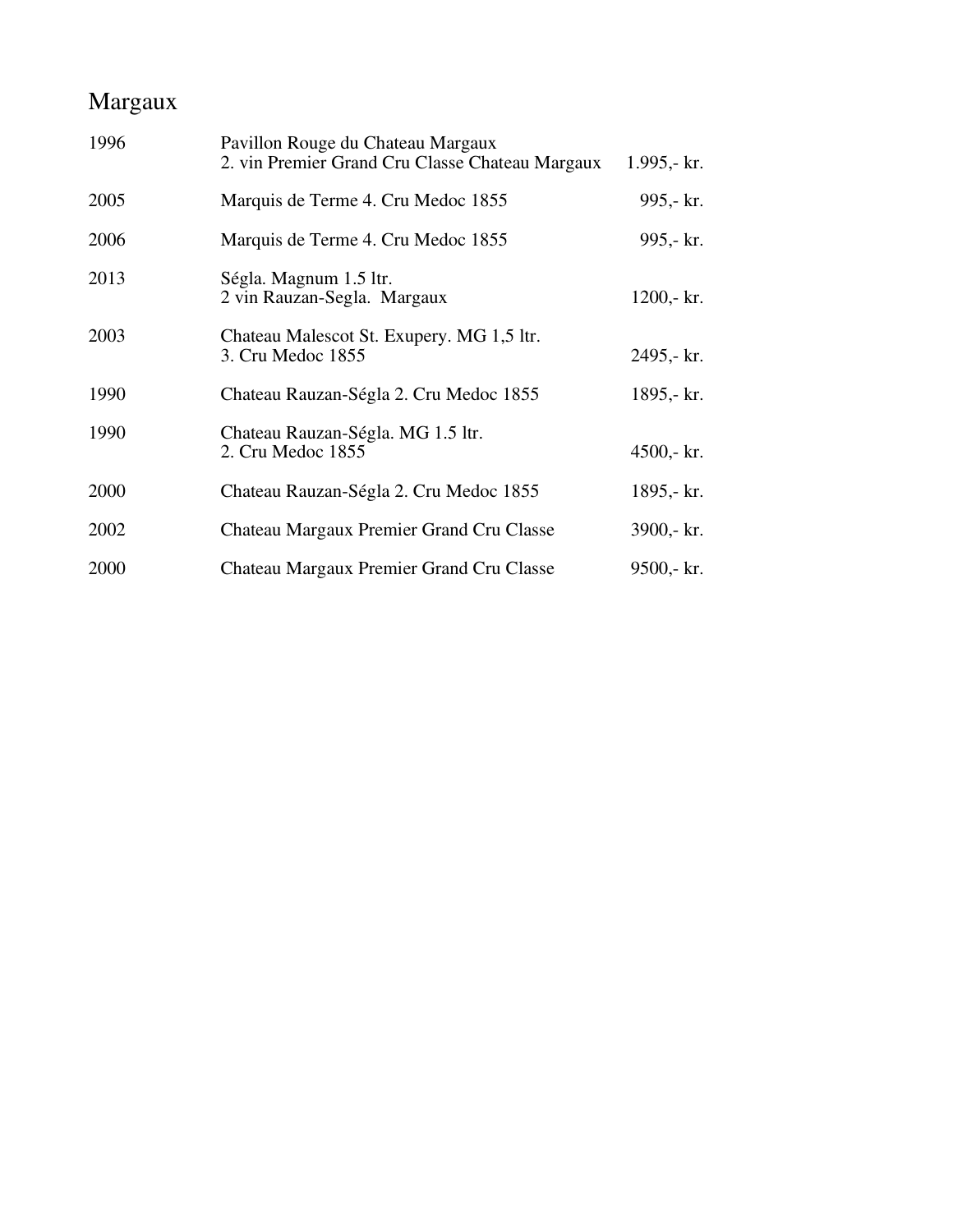### Margaux

| 1996 | Pavillon Rouge du Chateau Margaux<br>2. vin Premier Grand Cru Classe Chateau Margaux | 1.995,- $kr.$  |
|------|--------------------------------------------------------------------------------------|----------------|
| 2005 | Marquis de Terme 4. Cru Medoc 1855                                                   | 995,- kr.      |
| 2006 | Marquis de Terme 4. Cru Medoc 1855                                                   | 995,- kr.      |
| 2013 | Ségla. Magnum 1.5 ltr.<br>2 vin Rauzan-Segla. Margaux                                | $1200 - kr.$   |
| 2003 | Chateau Malescot St. Exupery. MG 1,5 ltr.<br>3. Cru Medoc 1855                       | 2495,- kr.     |
| 1990 | Chateau Rauzan-Ségla 2. Cru Medoc 1855                                               | 1895,- kr.     |
| 1990 | Chateau Rauzan-Ségla. MG 1.5 ltr.<br>2. Cru Medoc 1855                               | $4500 - k r$ . |
| 2000 | Chateau Rauzan-Ségla 2. Cru Medoc 1855                                               | 1895,- kr.     |
| 2002 | Chateau Margaux Premier Grand Cru Classe                                             | 3900,- kr.     |
| 2000 | Chateau Margaux Premier Grand Cru Classe                                             | $9500 - k r$ . |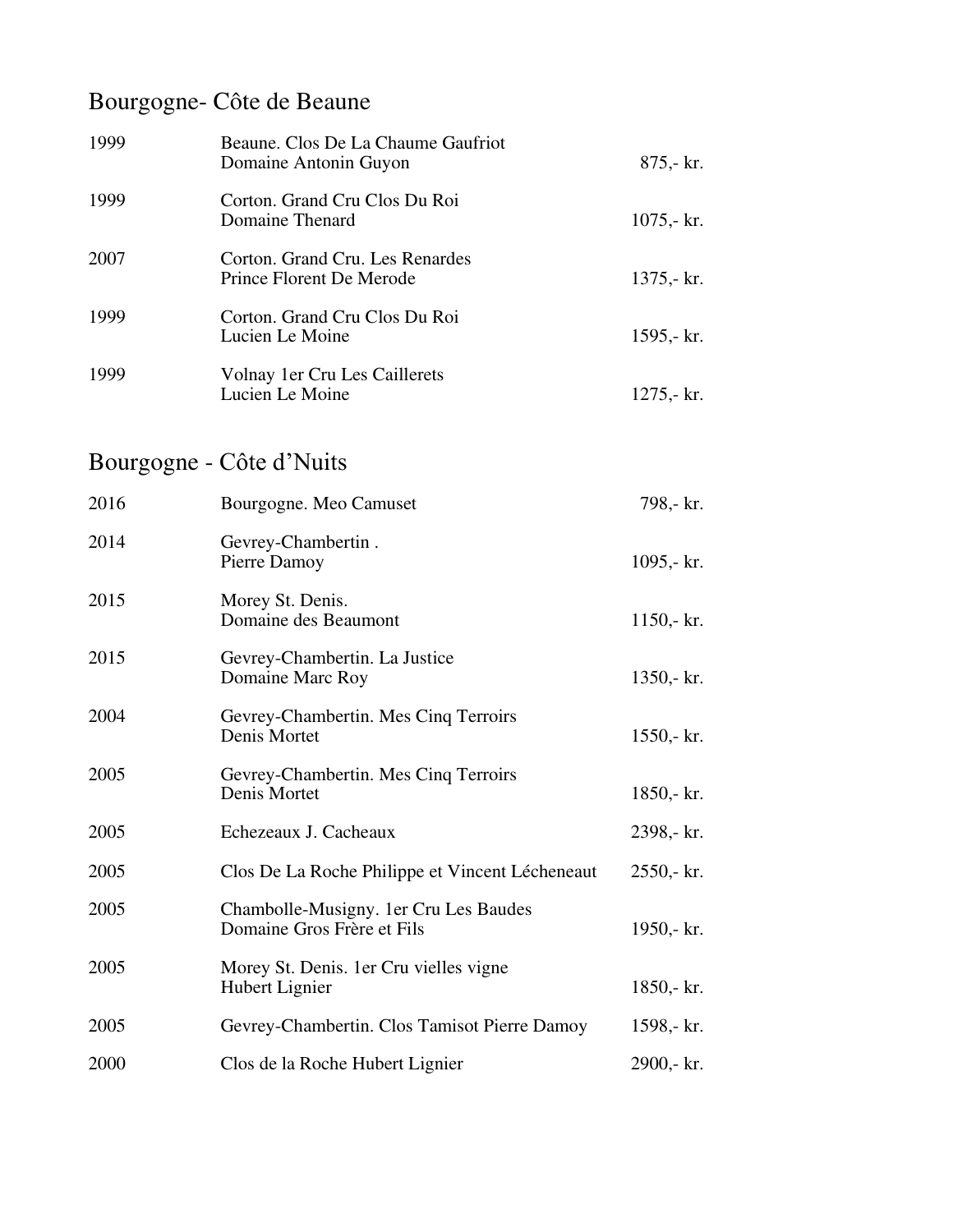## Bourgogne- Côte de Beaune

| 1999 | Beaune. Clos De La Chaume Gaufriot<br>Domaine Antonin Guyon | 875,- kr.    |
|------|-------------------------------------------------------------|--------------|
| 1999 | Corton. Grand Cru Clos Du Roi<br>Domaine Thenard            | $1075 - kr.$ |
| 2007 | Corton. Grand Cru. Les Renardes<br>Prince Florent De Merode | $1375 - kr.$ |
| 1999 | Corton. Grand Cru Clos Du Roi<br>Lucien Le Moine            | 1595,- $kr.$ |
| 1999 | Volnay 1 er Cru Les Caillerets<br>Lucien Le Moine           | $1275 - kr.$ |
|      | Bourgogne - Côte d'Nuits                                    |              |
| 2016 | Bourgogne. Meo Camuset                                      | 798,- kr.    |
| 2014 | Gevrey-Chambertin.<br>Pierre Damoy                          | 1095,- $kr.$ |

| 2015 | Morey St. Denis.<br>Domaine des Beaumont                            | $1150 - kr.$ |
|------|---------------------------------------------------------------------|--------------|
| 2015 | Gevrey-Chambertin. La Justice<br>Domaine Marc Roy                   | $1350 - kr.$ |
| 2004 | Gevrey-Chambertin. Mes Cinq Terroirs<br>Denis Mortet                | $1550 - kr.$ |
| 2005 | Gevrey-Chambertin. Mes Cinq Terroirs<br>Denis Mortet                | $1850 - kr.$ |
| 2005 | Echezeaux J. Cacheaux                                               | 2398,- kr.   |
| 2005 | Clos De La Roche Philippe et Vincent Lécheneaut                     | $2550 - kr.$ |
| 2005 | Chambolle-Musigny. 1er Cru Les Baudes<br>Domaine Gros Frère et Fils | 1950,- $kr.$ |
| 2005 | Morey St. Denis. 1 er Cru vielles vigne<br>Hubert Lignier           | $1850 - kr.$ |
| 2005 | Gevrey-Chambertin. Clos Tamisot Pierre Damoy                        | 1598,- kr.   |
| 2000 | Clos de la Roche Hubert Lignier                                     | 2900,- kr.   |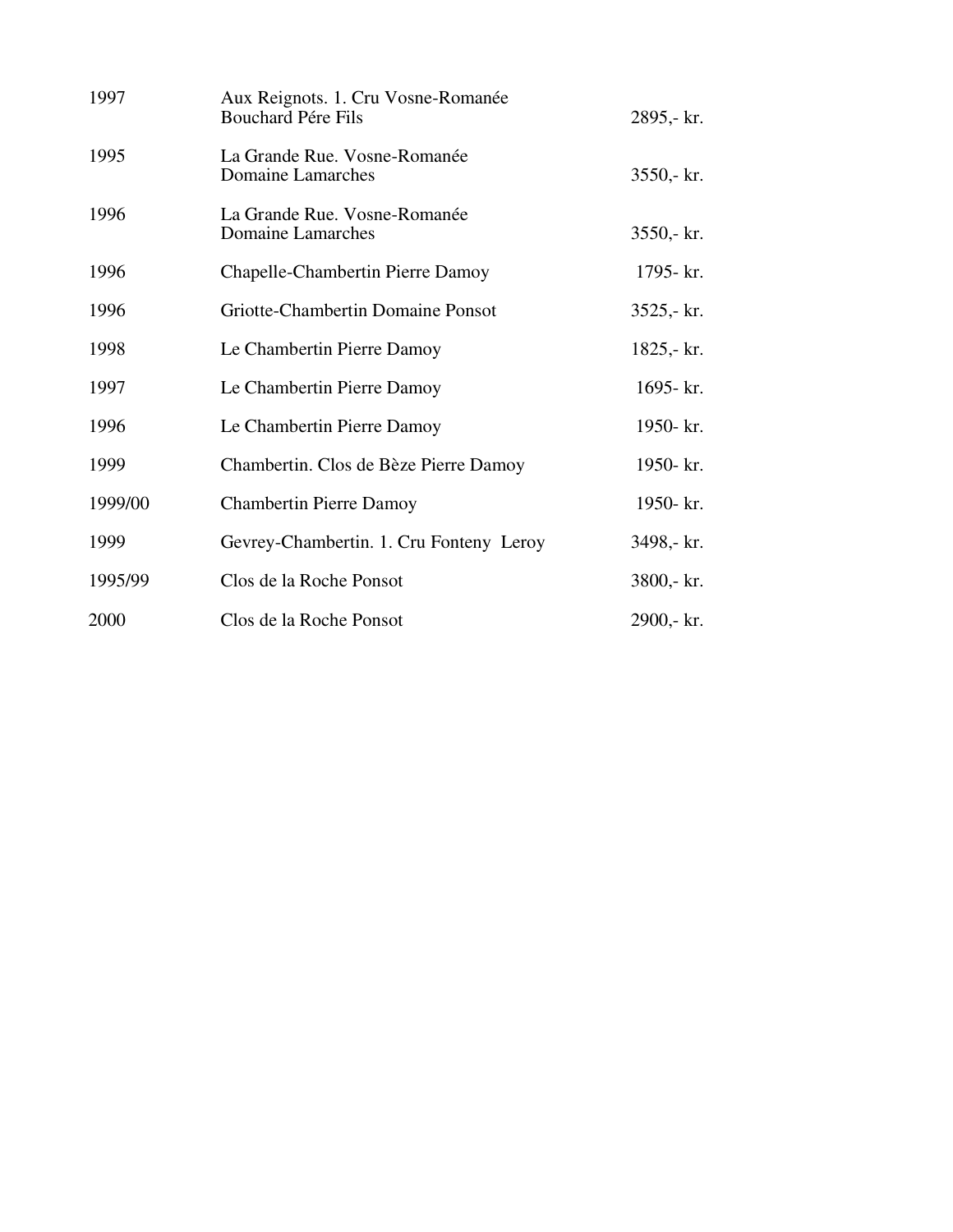| 1997    | Aux Reignots. 1. Cru Vosne-Romanée<br><b>Bouchard Pére Fils</b> | 2895,- kr.   |
|---------|-----------------------------------------------------------------|--------------|
| 1995    | La Grande Rue. Vosne-Romanée<br>Domaine Lamarches               | 3550,- kr.   |
| 1996    | La Grande Rue. Vosne-Romanée<br>Domaine Lamarches               | $3550 - k.$  |
| 1996    | Chapelle-Chambertin Pierre Damoy                                | 1795- kr.    |
| 1996    | Griotte-Chambertin Domaine Ponsot                               | $3525 - kr.$ |
| 1998    | Le Chambertin Pierre Damoy                                      | $1825 - kr.$ |
| 1997    | Le Chambertin Pierre Damoy                                      | 1695- kr.    |
| 1996    | Le Chambertin Pierre Damoy                                      | 1950- kr.    |
| 1999    | Chambertin. Clos de Bèze Pierre Damoy                           | 1950- kr.    |
| 1999/00 | <b>Chambertin Pierre Damoy</b>                                  | 1950- kr.    |
| 1999    | Gevrey-Chambertin. 1. Cru Fonteny Leroy                         | 3498,- kr.   |
| 1995/99 | Clos de la Roche Ponsot                                         | 3800,- kr.   |
| 2000    | Clos de la Roche Ponsot                                         | 2900,- kr.   |
|         |                                                                 |              |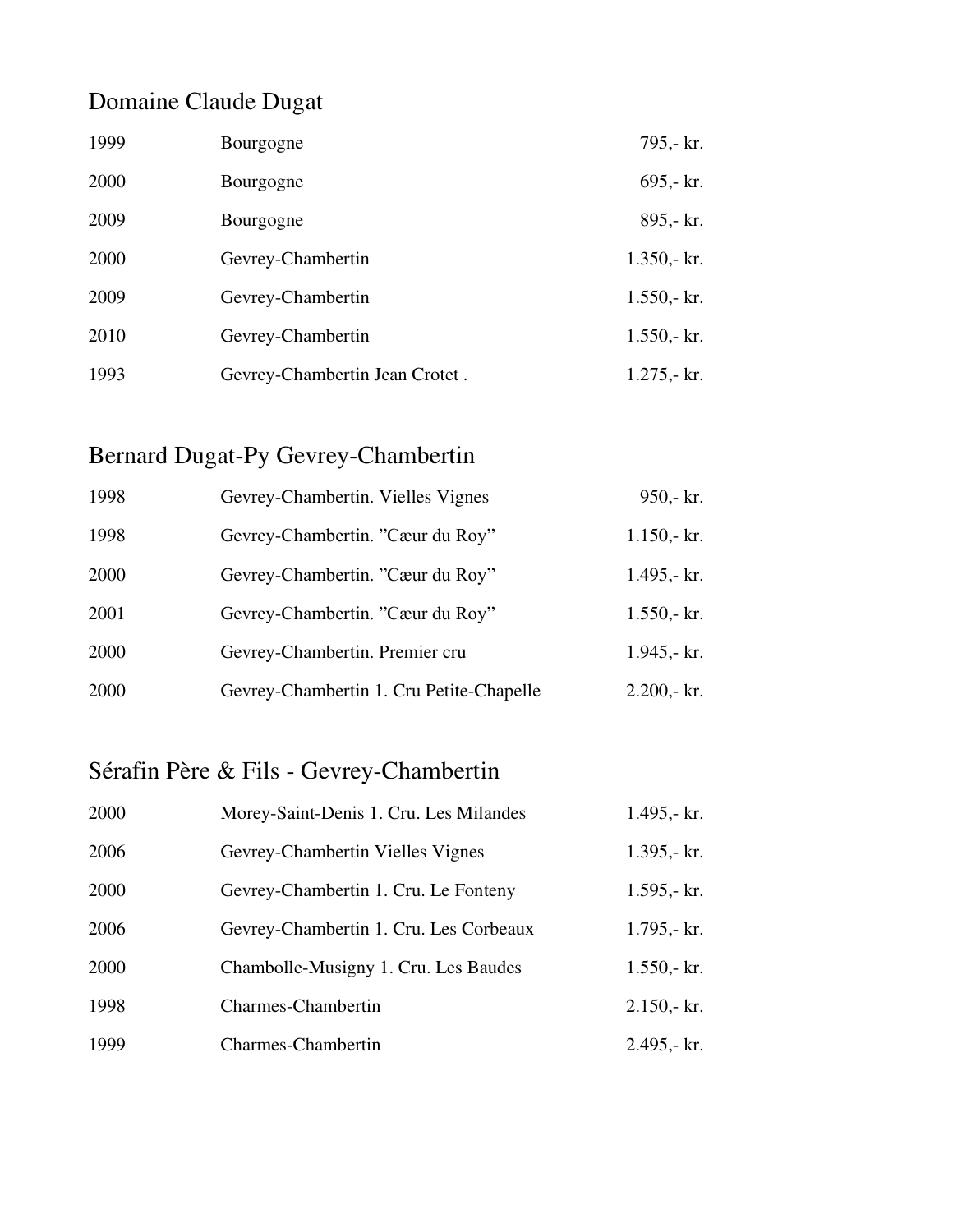## Domaine Claude Dugat

| 1999 | Bourgogne                      | 795,- kr.     |
|------|--------------------------------|---------------|
| 2000 | Bourgogne                      | $695 - kr.$   |
| 2009 | Bourgogne                      | 895,- kr.     |
| 2000 | Gevrey-Chambertin              | $1.350 - kr.$ |
| 2009 | Gevrey-Chambertin              | $1.550 - kr.$ |
| 2010 | Gevrey-Chambertin              | $1.550 - kr.$ |
| 1993 | Gevrey-Chambertin Jean Crotet. | $1.275 - kr.$ |

## Bernard Dugat-Py Gevrey-Chambertin

| 1998 | Gevrey-Chambertin. Vielles Vignes        | $950 - kr.$     |
|------|------------------------------------------|-----------------|
| 1998 | Gevrey-Chambertin. "Cæur du Roy"         | $1.150 - kr.$   |
| 2000 | Gevrey-Chambertin. "Cæur du Roy"         | $1.495 - kr.$   |
| 2001 | Gevrey-Chambertin. "Cæur du Roy"         | $1.550 - kr.$   |
| 2000 | Gevrey-Chambertin. Premier cru           | $1.945 - k.$    |
| 2000 | Gevrey-Chambertin 1. Cru Petite-Chapelle | $2.200 - k r$ . |

## Sérafin Père & Fils - Gevrey-Chambertin

| 2000 | Morey-Saint-Denis 1. Cru. Les Milandes | 1.495,- kr.   |
|------|----------------------------------------|---------------|
| 2006 | Gevrey-Chambertin Vielles Vignes       | $1.395 - kr.$ |
| 2000 | Gevrey-Chambertin 1. Cru. Le Fonteny   | $1.595 - kr.$ |
| 2006 | Gevrey-Chambertin 1. Cru. Les Corbeaux | $1.795 - kr.$ |
| 2000 | Chambolle-Musigny 1. Cru. Les Baudes   | $1.550 - kr.$ |
| 1998 | Charmes-Chambertin                     | $2.150 - kr.$ |
| 1999 | <b>Charmes-Chambertin</b>              | 2.495,- kr.   |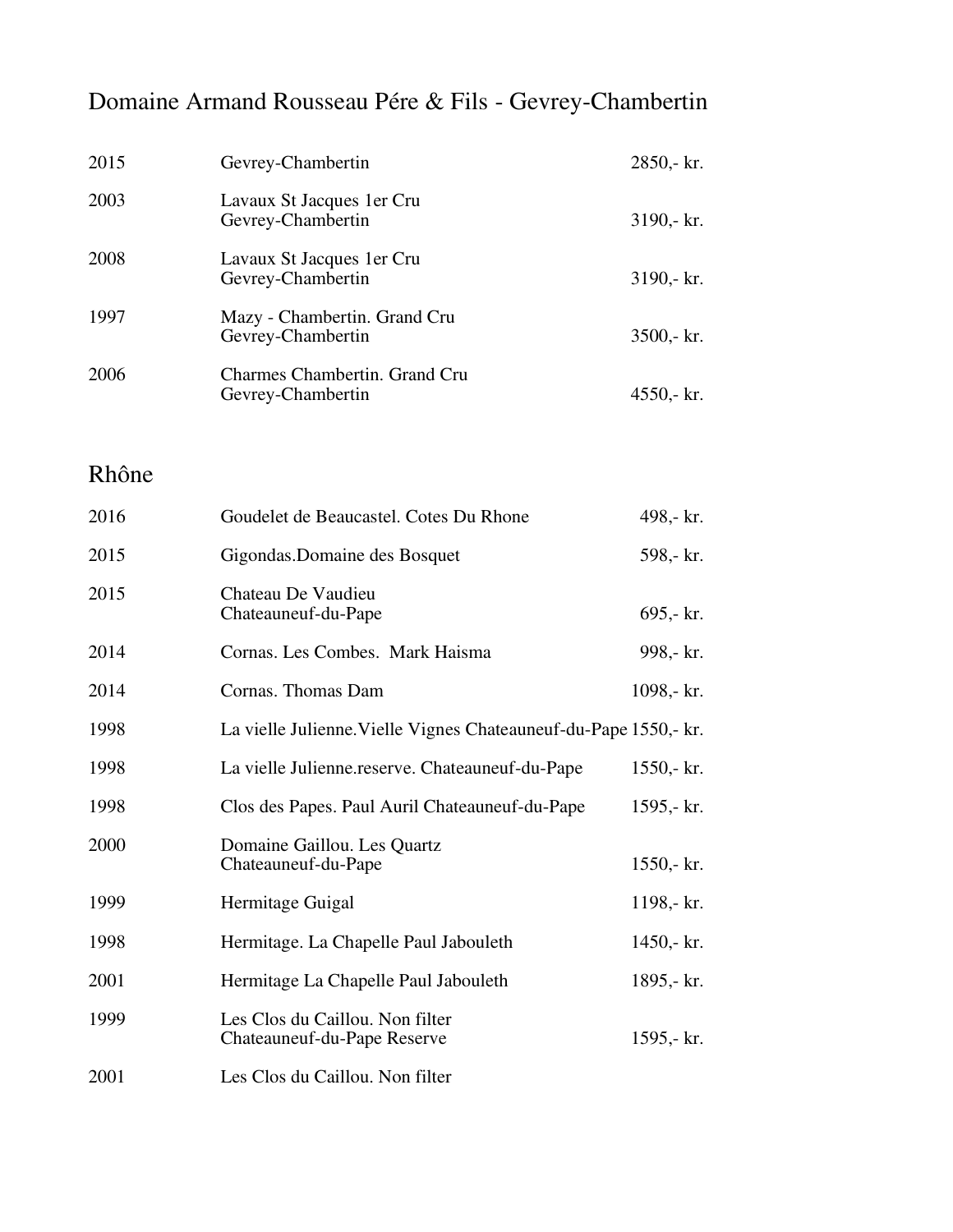## Domaine Armand Rousseau Pére & Fils - Gevrey-Chambertin

| 2015 | Gevrey-Chambertin                                  | $2850 - kr.$   |
|------|----------------------------------------------------|----------------|
| 2003 | Lavaux St Jacques 1 er Cru<br>Gevrey-Chambertin    | $3190 - k r$ . |
| 2008 | Lavaux St Jacques 1 er Cru<br>Gevrey-Chambertin    | $3190 - k r$ . |
| 1997 | Mazy - Chambertin. Grand Cru<br>Gevrey-Chambertin  | $3500 - k r$ . |
| 2006 | Charmes Chambertin. Grand Cru<br>Gevrey-Chambertin | $4550 - k$ r.  |

Rhône

| 2016 | Goudelet de Beaucastel. Cotes Du Rhone                           | 498,- kr.    |
|------|------------------------------------------------------------------|--------------|
| 2015 | Gigondas. Domaine des Bosquet                                    | 598,- kr.    |
| 2015 | Chateau De Vaudieu<br>Chateauneuf-du-Pape                        | 695,- kr.    |
| 2014 | Cornas. Les Combes. Mark Haisma                                  | 998,- kr.    |
| 2014 | Cornas. Thomas Dam                                               | 1098,- kr.   |
| 1998 | La vielle Julienne. Vielle Vignes Chateauneuf-du-Pape 1550,- kr. |              |
| 1998 | La vielle Julienne.reserve. Chateauneuf-du-Pape                  | $1550 - kr.$ |
| 1998 | Clos des Papes. Paul Auril Chateauneuf-du-Pape                   | 1595,- $kr.$ |
| 2000 | Domaine Gaillou. Les Quartz<br>Chateauneuf-du-Pape               | $1550 - kr.$ |
| 1999 | Hermitage Guigal                                                 | 1198,- kr.   |
| 1998 | Hermitage. La Chapelle Paul Jabouleth                            | 1450,- $kr.$ |
| 2001 | Hermitage La Chapelle Paul Jabouleth                             | 1895,- $kr.$ |
| 1999 | Les Clos du Caillou. Non filter<br>Chateauneuf-du-Pape Reserve   | 1595,- $kr.$ |
| 2001 | Les Clos du Caillou. Non filter                                  |              |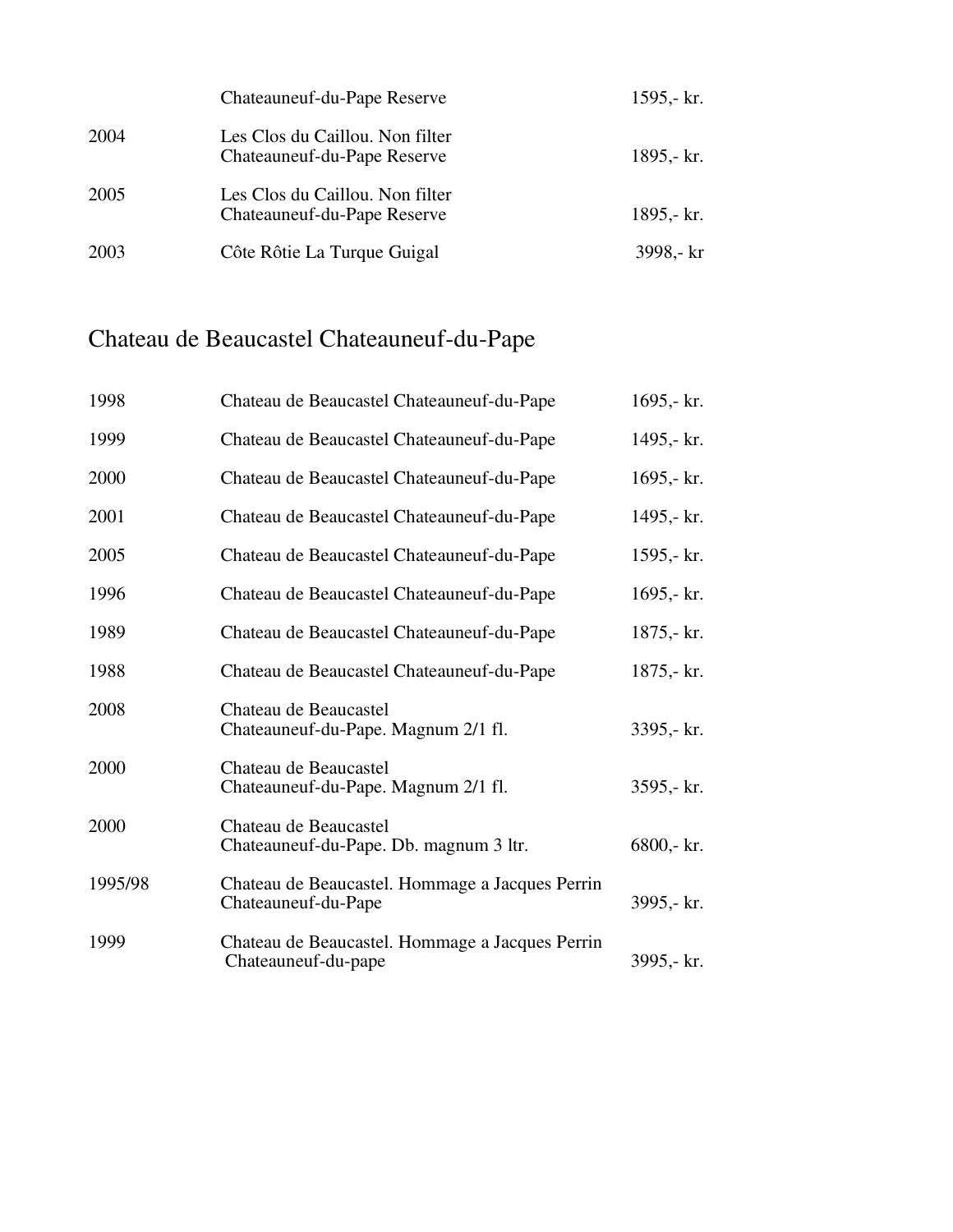|      | Chateauneuf-du-Pape Reserve                                    | 1595,- $kr.$ |
|------|----------------------------------------------------------------|--------------|
| 2004 | Les Clos du Caillou. Non filter<br>Chateauneuf-du-Pape Reserve | 1895,- $kr.$ |
| 2005 | Les Clos du Caillou. Non filter<br>Chateauneuf-du-Pape Reserve | 1895,- $kr.$ |
| 2003 | Côte Rôtie La Turque Guigal                                    | 3998,- kr    |

## Chateau de Beaucastel Chateauneuf-du-Pape

| 1998    | Chateau de Beaucastel Chateauneuf-du-Pape                              | 1695,- $kr.$ |
|---------|------------------------------------------------------------------------|--------------|
| 1999    | Chateau de Beaucastel Chateauneuf-du-Pape                              | 1495,- kr.   |
| 2000    | Chateau de Beaucastel Chateauneuf-du-Pape                              | 1695,- $kr.$ |
| 2001    | Chateau de Beaucastel Chateauneuf-du-Pape                              | 1495,- kr.   |
| 2005    | Chateau de Beaucastel Chateauneuf-du-Pape                              | 1595,- $kr.$ |
| 1996    | Chateau de Beaucastel Chateauneuf-du-Pape                              | 1695,- $kr.$ |
| 1989    | Chateau de Beaucastel Chateauneuf-du-Pape                              | $1875 - kr.$ |
| 1988    | Chateau de Beaucastel Chateauneuf-du-Pape                              | $1875 - kr.$ |
| 2008    | Chateau de Beaucastel<br>Chateauneuf-du-Pape. Magnum 2/1 fl.           | 3395,- kr.   |
| 2000    | Chateau de Beaucastel<br>Chateauneuf-du-Pape. Magnum 2/1 fl.           | 3595,- kr.   |
| 2000    | Chateau de Beaucastel<br>Chateauneuf-du-Pape. Db. magnum 3 ltr.        | 6800,- kr.   |
| 1995/98 | Chateau de Beaucastel. Hommage a Jacques Perrin<br>Chateauneuf-du-Pape | 3995,- kr.   |
| 1999    | Chateau de Beaucastel. Hommage a Jacques Perrin<br>Chateauneuf-du-pape | 3995,- kr.   |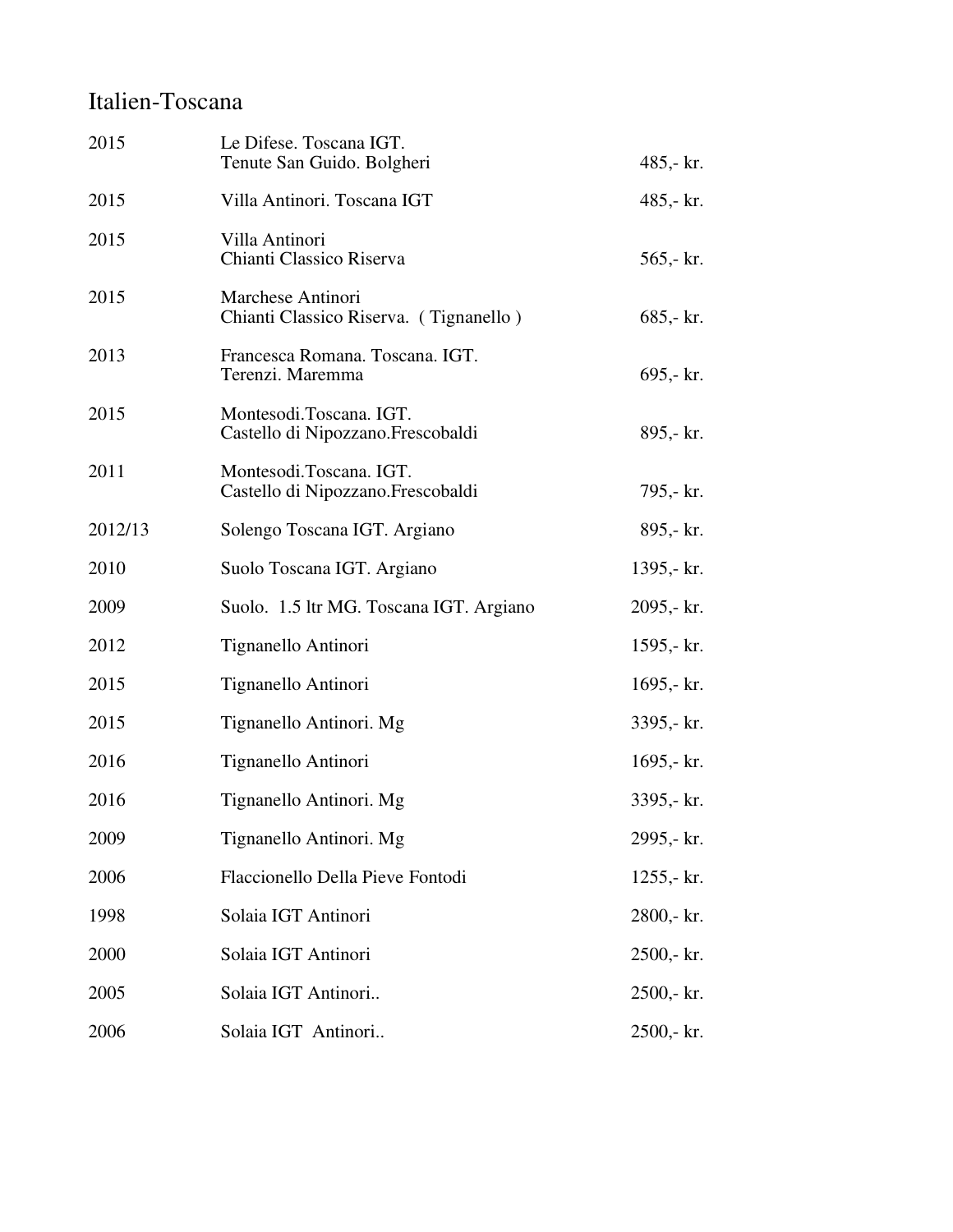### Italien-Toscana

| 2015    | Le Difese. Toscana IGT.<br>Tenute San Guido. Bolgheri        | 485,- kr.    |
|---------|--------------------------------------------------------------|--------------|
| 2015    | Villa Antinori. Toscana IGT                                  | 485,- kr.    |
| 2015    | Villa Antinori<br>Chianti Classico Riserva                   | 565,- kr.    |
| 2015    | Marchese Antinori<br>Chianti Classico Riserva. (Tignanello)  | 685,- kr.    |
| 2013    | Francesca Romana. Toscana. IGT.<br>Terenzi. Maremma          | 695,- kr.    |
| 2015    | Montesodi.Toscana. IGT.<br>Castello di Nipozzano.Frescobaldi | 895,- kr.    |
| 2011    | Montesodi.Toscana. IGT.<br>Castello di Nipozzano.Frescobaldi | 795,- kr.    |
| 2012/13 | Solengo Toscana IGT. Argiano                                 | 895,- kr.    |
| 2010    | Suolo Toscana IGT. Argiano                                   | 1395,- kr.   |
| 2009    | Suolo. 1.5 ltr MG. Toscana IGT. Argiano                      | 2095,- kr.   |
| 2012    | Tignanello Antinori                                          | 1595,- kr.   |
| 2015    | Tignanello Antinori                                          | 1695,- $kr.$ |
| 2015    | Tignanello Antinori. Mg                                      | 3395,- kr.   |
| 2016    | Tignanello Antinori                                          | 1695,- $kr.$ |
| 2016    | Tignanello Antinori. Mg                                      | 3395,- kr.   |
| 2009    | Tignanello Antinori. Mg                                      | 2995,- kr.   |
| 2006    | Flaccionello Della Pieve Fontodi                             | $1255 - kr.$ |
| 1998    | Solaia IGT Antinori                                          | 2800,- kr.   |
| 2000    | Solaia IGT Antinori                                          | $2500 - kr.$ |
| 2005    | Solaia IGT Antinori                                          | $2500 - kr.$ |
| 2006    | Solaia IGT Antinori                                          | 2500,- kr.   |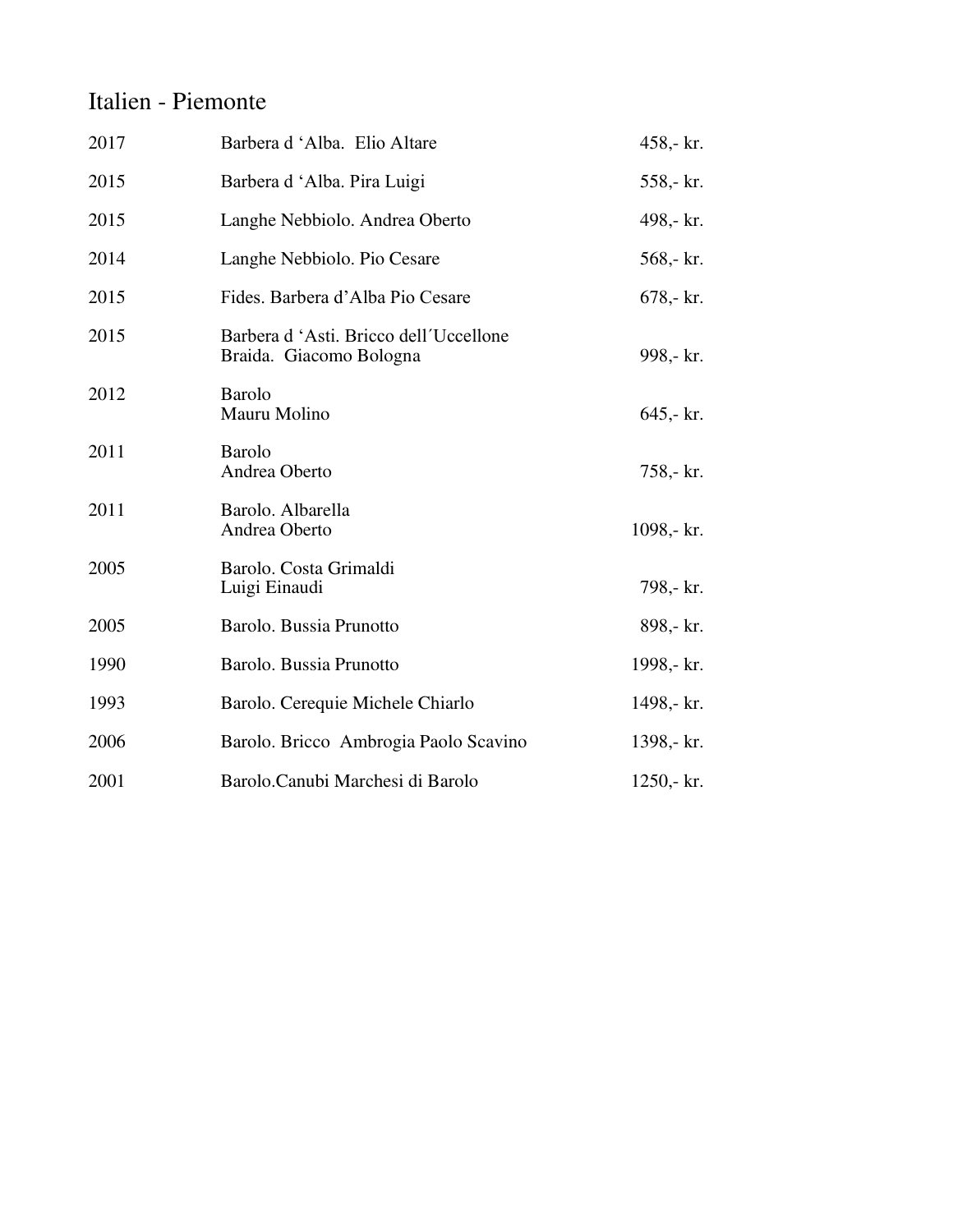#### Italien - Piemonte

| 2017 | Barbera d'Alba. Elio Altare                                      | 458,- kr.    |
|------|------------------------------------------------------------------|--------------|
| 2015 | Barbera d'Alba. Pira Luigi                                       | 558,- kr.    |
| 2015 | Langhe Nebbiolo. Andrea Oberto                                   | 498,- kr.    |
| 2014 | Langhe Nebbiolo. Pio Cesare                                      | 568,- kr.    |
| 2015 | Fides. Barbera d'Alba Pio Cesare                                 | $678 - kr.$  |
| 2015 | Barbera d'Asti. Bricco dell'Uccellone<br>Braida. Giacomo Bologna | 998,- kr.    |
| 2012 | <b>Barolo</b><br>Mauru Molino                                    | $645 - kr.$  |
| 2011 | <b>Barolo</b><br>Andrea Oberto                                   | 758,- kr.    |
| 2011 | Barolo. Albarella<br>Andrea Oberto                               | 1098,- kr.   |
| 2005 | Barolo. Costa Grimaldi<br>Luigi Einaudi                          | 798,- kr.    |
| 2005 | Barolo. Bussia Prunotto                                          | 898,- kr.    |
| 1990 | Barolo. Bussia Prunotto                                          | 1998,- kr.   |
| 1993 | Barolo. Cerequie Michele Chiarlo                                 | 1498,- kr.   |
| 2006 | Barolo. Bricco Ambrogia Paolo Scavino                            | 1398,- kr.   |
| 2001 | Barolo.Canubi Marchesi di Barolo                                 | $1250 - kr.$ |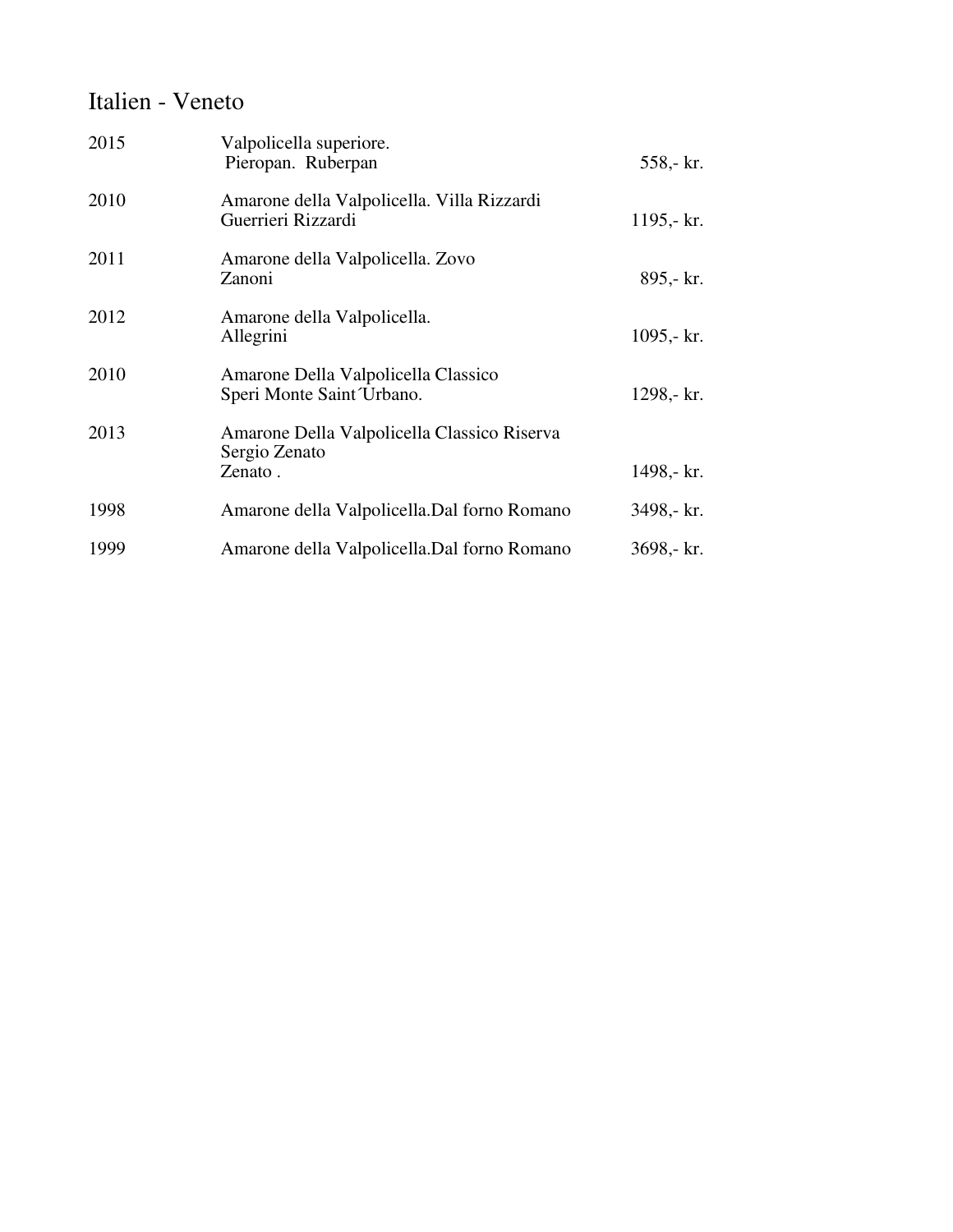#### Italien - Veneto

| 2015 | Valpolicella superiore.<br>Pieropan. Ruberpan                    | 558,- kr.    |
|------|------------------------------------------------------------------|--------------|
| 2010 | Amarone della Valpolicella. Villa Rizzardi<br>Guerrieri Rizzardi | 1195,- $kr.$ |
| 2011 | Amarone della Valpolicella. Zovo<br>Zanoni                       | 895,- kr.    |
| 2012 | Amarone della Valpolicella.<br>Allegrini                         | 1095,- $kr.$ |
| 2010 | Amarone Della Valpolicella Classico<br>Speri Monte Saint Urbano. | 1298,- kr.   |
| 2013 | Amarone Della Valpolicella Classico Riserva<br>Sergio Zenato     |              |
|      | Zenato.                                                          | 1498,- kr.   |
| 1998 | Amarone della Valpolicella. Dal forno Romano                     | 3498,- kr.   |
| 1999 | Amarone della Valpolicella. Dal forno Romano                     | 3698,- kr.   |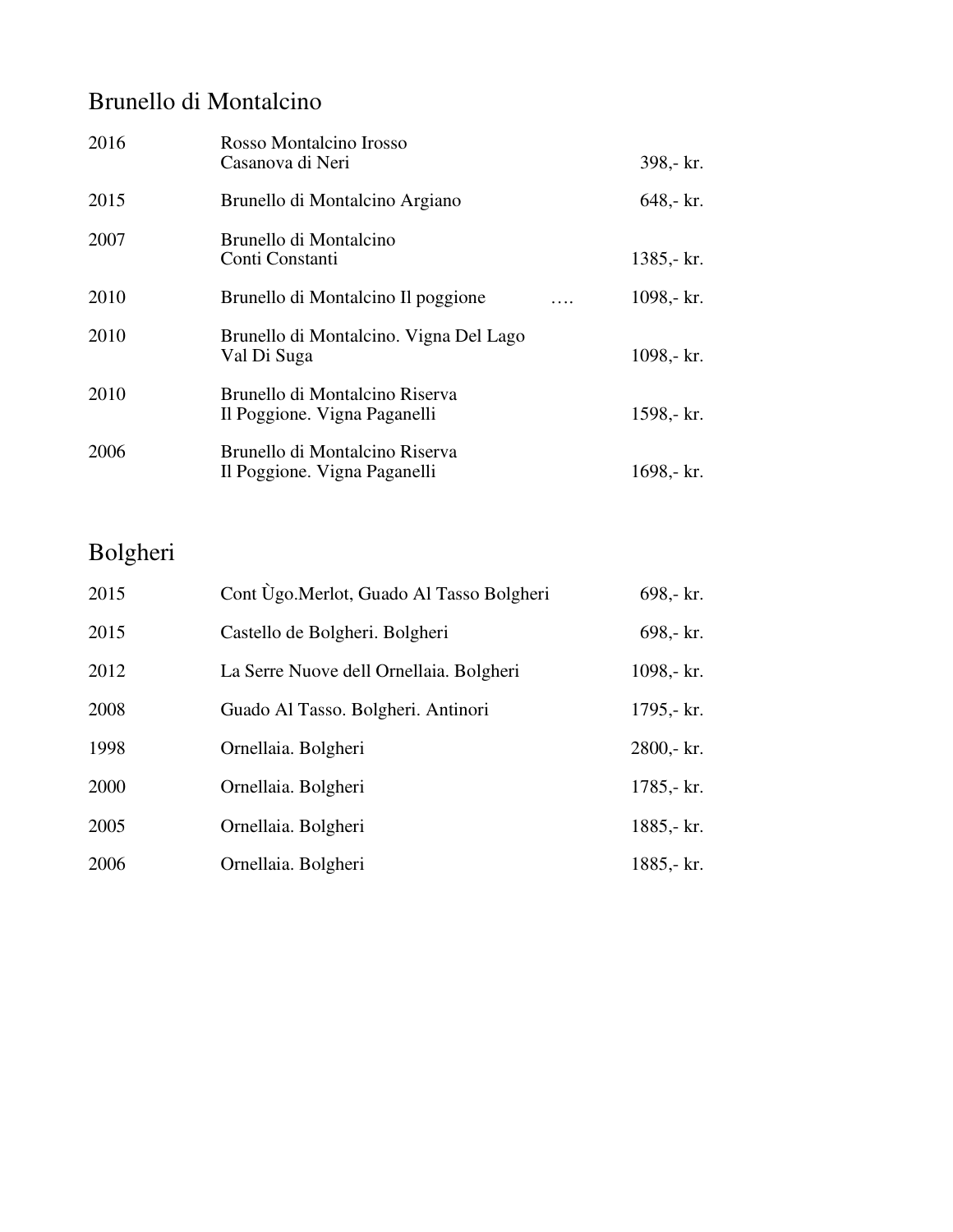### Brunello di Montalcino

| 2016 | Rosso Montalcino Irosso<br>Casanova di Neri                    |   | 398,- kr.    |
|------|----------------------------------------------------------------|---|--------------|
| 2015 | Brunello di Montalcino Argiano                                 |   | $648 - kr.$  |
| 2007 | Brunello di Montalcino<br>Conti Constanti                      |   | $1385 - kr.$ |
| 2010 | Brunello di Montalcino Il poggione                             | . | 1098,- $kr.$ |
| 2010 | Brunello di Montalcino. Vigna Del Lago<br>Val Di Suga          |   | $1098 - kr.$ |
| 2010 | Brunello di Montalcino Riserva<br>Il Poggione. Vigna Paganelli |   | 1598,- kr.   |
| 2006 | Brunello di Montalcino Riserva<br>Il Poggione. Vigna Paganelli |   | 1698,- $kr.$ |

## Bolgheri

| 2015 | Cont Ùgo.Merlot, Guado Al Tasso Bolgheri | 698,- kr.    |
|------|------------------------------------------|--------------|
| 2015 | Castello de Bolgheri. Bolgheri           | 698,- kr.    |
| 2012 | La Serre Nuove dell Ornellaia. Bolgheri  | 1098,- kr.   |
| 2008 | Guado Al Tasso. Bolgheri. Antinori       | 1795,- $kr.$ |
| 1998 | Ornellaia. Bolgheri                      | 2800,- kr.   |
| 2000 | Ornellaia. Bolgheri                      | $1785 - kr.$ |
| 2005 | Ornellaia. Bolgheri                      | 1885,- kr.   |
| 2006 | Ornellaia. Bolgheri                      | 1885,- kr.   |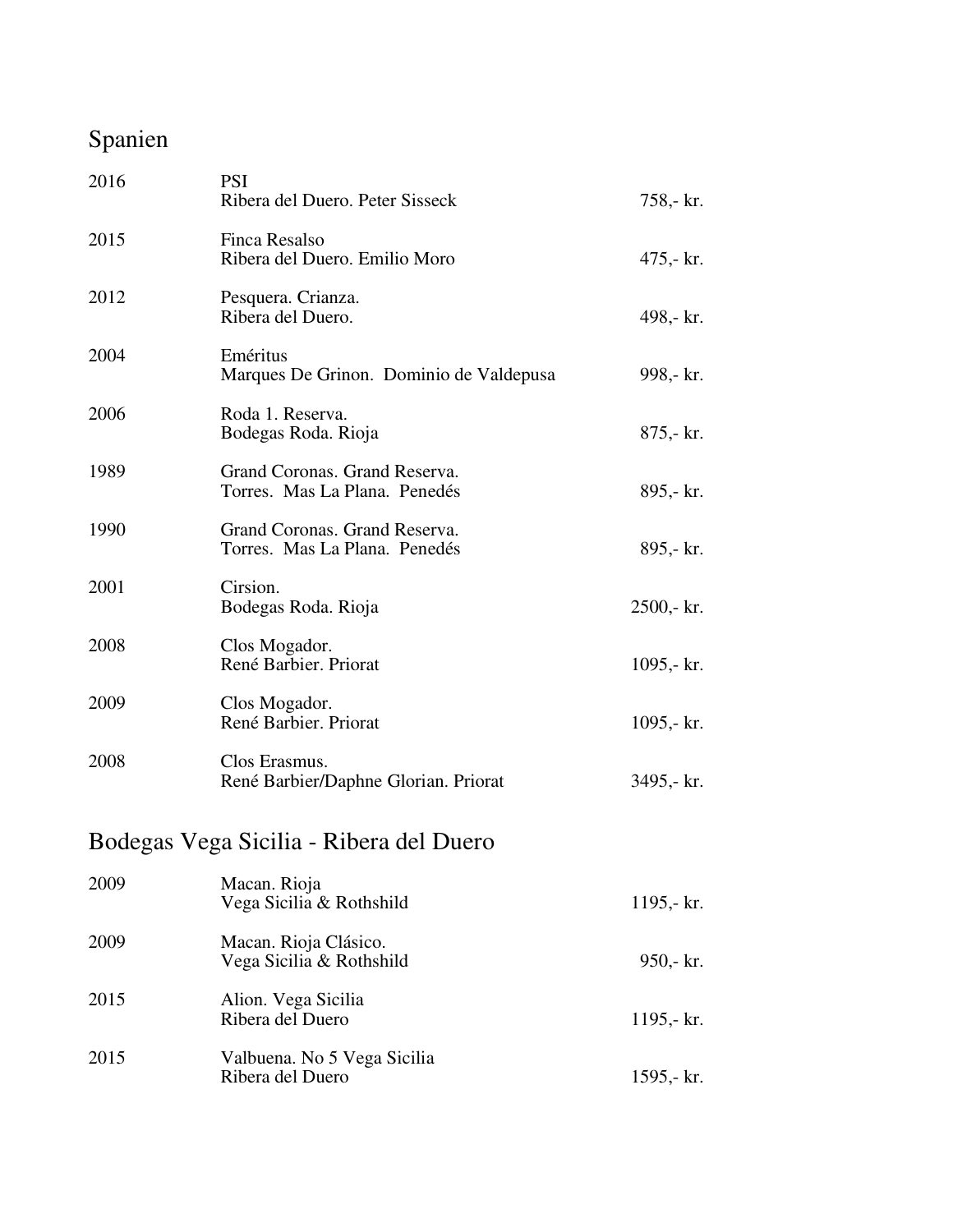## Spanien

| 2016 | <b>PSI</b><br>Ribera del Duero. Peter Sisseck                  | 758,- kr.    |
|------|----------------------------------------------------------------|--------------|
| 2015 | Finca Resalso<br>Ribera del Duero. Emilio Moro                 | $475 - kr$ . |
| 2012 | Pesquera. Crianza.<br>Ribera del Duero.                        | 498,- kr.    |
| 2004 | Eméritus<br>Marques De Grinon. Dominio de Valdepusa            | 998,- kr.    |
| 2006 | Roda 1. Reserva.<br>Bodegas Roda. Rioja                        | $875 - kr$ . |
| 1989 | Grand Coronas. Grand Reserva.<br>Torres. Mas La Plana. Penedés | 895,- kr.    |
| 1990 | Grand Coronas. Grand Reserva.<br>Torres. Mas La Plana. Penedés | 895,- kr.    |
| 2001 | Cirsion.<br>Bodegas Roda. Rioja                                | 2500,- kr.   |
| 2008 | Clos Mogador.<br>René Barbier. Priorat                         | 1095,- $kr.$ |
| 2009 | Clos Mogador.<br>René Barbier. Priorat                         | 1095,- $kr.$ |
| 2008 | Clos Erasmus.<br>René Barbier/Daphne Glorian. Priorat          | 3495,- kr.   |
|      | Bodegas Vega Sicilia - Ribera del Duero                        |              |
| 2009 | Macan. Rioja<br>Vega Sicilia & Rothshild                       | 1195,- $kr.$ |
| 2009 | Macan. Rioja Clásico.<br>Vega Sicilia & Rothshild              | $950 - kr.$  |
| 2015 | Alion. Vega Sicilia<br>Ribera del Duero                        | 1195,- kr.   |
| 2015 | Valbuena. No 5 Vega Sicilia<br>Ribera del Duero                | 1595,- kr.   |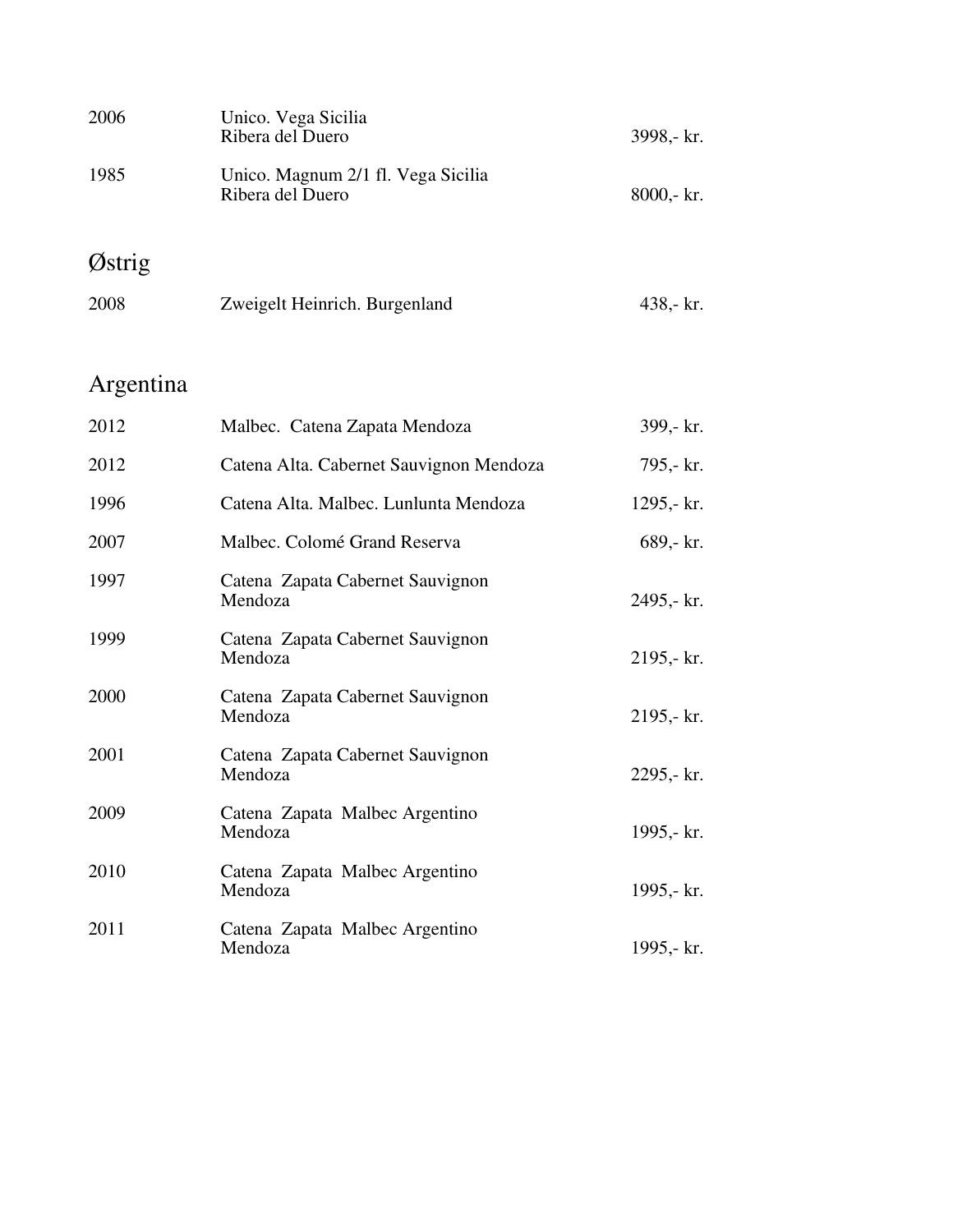| 2006 | Unico. Vega Sicilia<br>Ribera del Duero                | 3998,- kr.     |
|------|--------------------------------------------------------|----------------|
| 1985 | Unico. Magnum 2/1 fl. Vega Sicilia<br>Ribera del Duero | $8000 - k r$ . |

# Østrig

| 2008 | Zweigelt Heinrich. Burgenland | 438,- $kr.$ |
|------|-------------------------------|-------------|
|      |                               |             |

# Argentina

| 2012 | Malbec. Catena Zapata Mendoza               | 399,- kr.    |
|------|---------------------------------------------|--------------|
| 2012 | Catena Alta. Cabernet Sauvignon Mendoza     | 795,- kr.    |
| 1996 | Catena Alta. Malbec. Lunlunta Mendoza       | 1295,- $kr.$ |
| 2007 | Malbec. Colomé Grand Reserva                | 689,- kr.    |
| 1997 | Catena Zapata Cabernet Sauvignon<br>Mendoza | 2495,- kr.   |
| 1999 | Catena Zapata Cabernet Sauvignon<br>Mendoza | $2195 - kr.$ |
| 2000 | Catena Zapata Cabernet Sauvignon<br>Mendoza | 2195,- kr.   |
| 2001 | Catena Zapata Cabernet Sauvignon<br>Mendoza | 2295,- kr.   |
| 2009 | Catena Zapata Malbec Argentino<br>Mendoza   | 1995,- kr.   |
| 2010 | Catena Zapata Malbec Argentino<br>Mendoza   | 1995,- $kr.$ |
| 2011 | Catena Zapata Malbec Argentino<br>Mendoza   | 1995,- kr.   |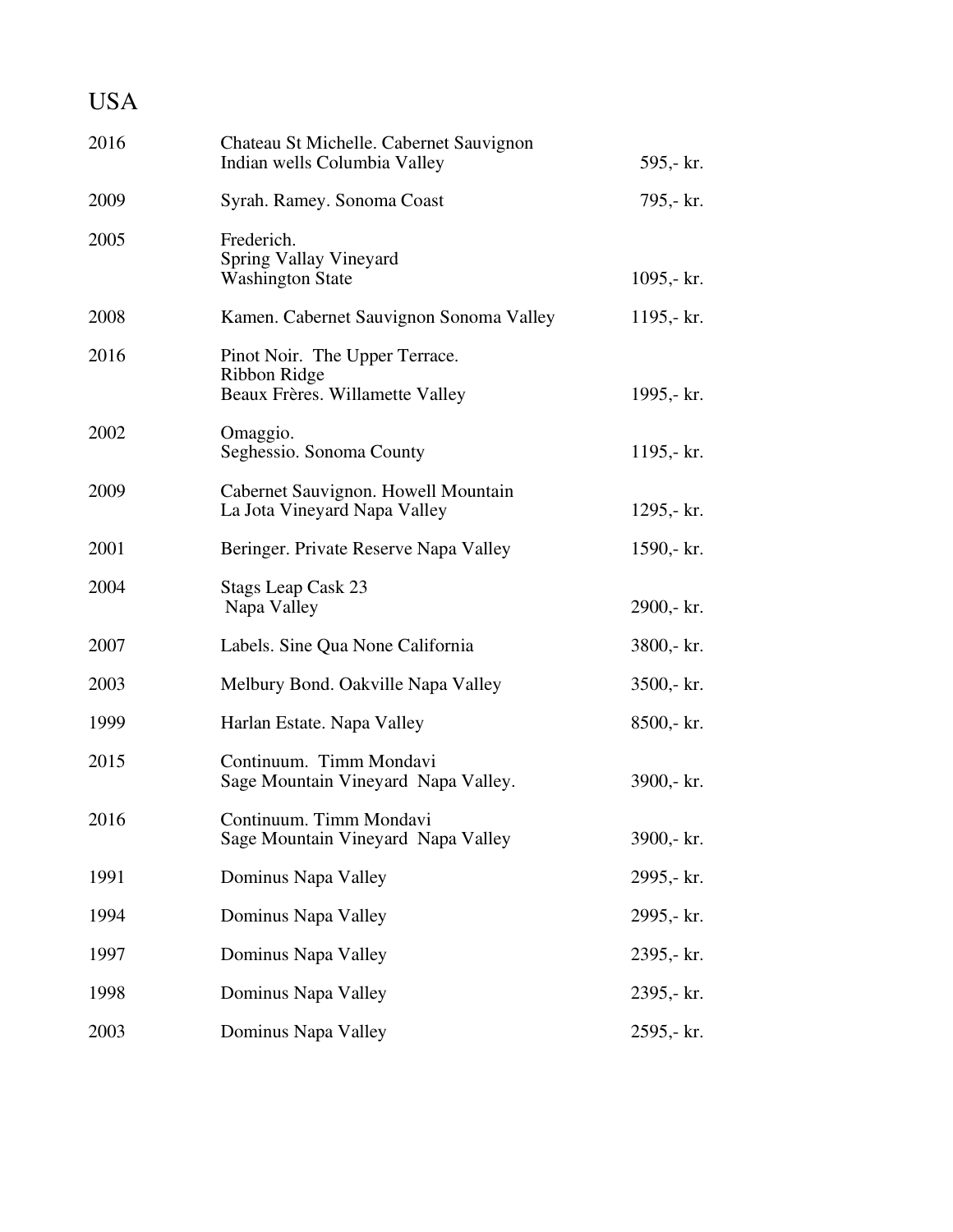| <b>USA</b> |                                                                                   |                |
|------------|-----------------------------------------------------------------------------------|----------------|
| 2016       | Chateau St Michelle. Cabernet Sauvignon<br>Indian wells Columbia Valley           | 595,- kr.      |
| 2009       | Syrah. Ramey. Sonoma Coast                                                        | 795,- kr.      |
| 2005       | Frederich.<br>Spring Vallay Vineyard<br><b>Washington State</b>                   | 1095,- $kr.$   |
| 2008       | Kamen. Cabernet Sauvignon Sonoma Valley                                           | 1195,- $kr.$   |
| 2016       | Pinot Noir. The Upper Terrace.<br>Ribbon Ridge<br>Beaux Frères. Willamette Valley | 1995,- kr.     |
| 2002       | Omaggio.<br>Seghessio. Sonoma County                                              | 1195,- $kr.$   |
| 2009       | Cabernet Sauvignon. Howell Mountain<br>La Jota Vineyard Napa Valley               | 1295,- $kr.$   |
| 2001       | Beringer. Private Reserve Napa Valley                                             | 1590,- $kr.$   |
| 2004       | <b>Stags Leap Cask 23</b><br>Napa Valley                                          | 2900,- kr.     |
| 2007       | Labels. Sine Qua None California                                                  | 3800,- kr.     |
| 2003       | Melbury Bond. Oakville Napa Valley                                                | $3500 - k r$ . |
| 1999       | Harlan Estate. Napa Valley                                                        | 8500,- kr.     |
| 2015       | Continuum. Timm Mondavi<br>Sage Mountain Vineyard Napa Valley.                    | 3900,- kr.     |
| 2016       | Continuum. Timm Mondavi<br>Sage Mountain Vineyard Napa Valley                     | 3900,- kr.     |
| 1991       | Dominus Napa Valley                                                               | 2995,- kr.     |
| 1994       | Dominus Napa Valley                                                               | 2995,- kr.     |
| 1997       | Dominus Napa Valley                                                               | 2395,- kr.     |
| 1998       | Dominus Napa Valley                                                               | 2395,- kr.     |
| 2003       | Dominus Napa Valley                                                               | 2595,- kr.     |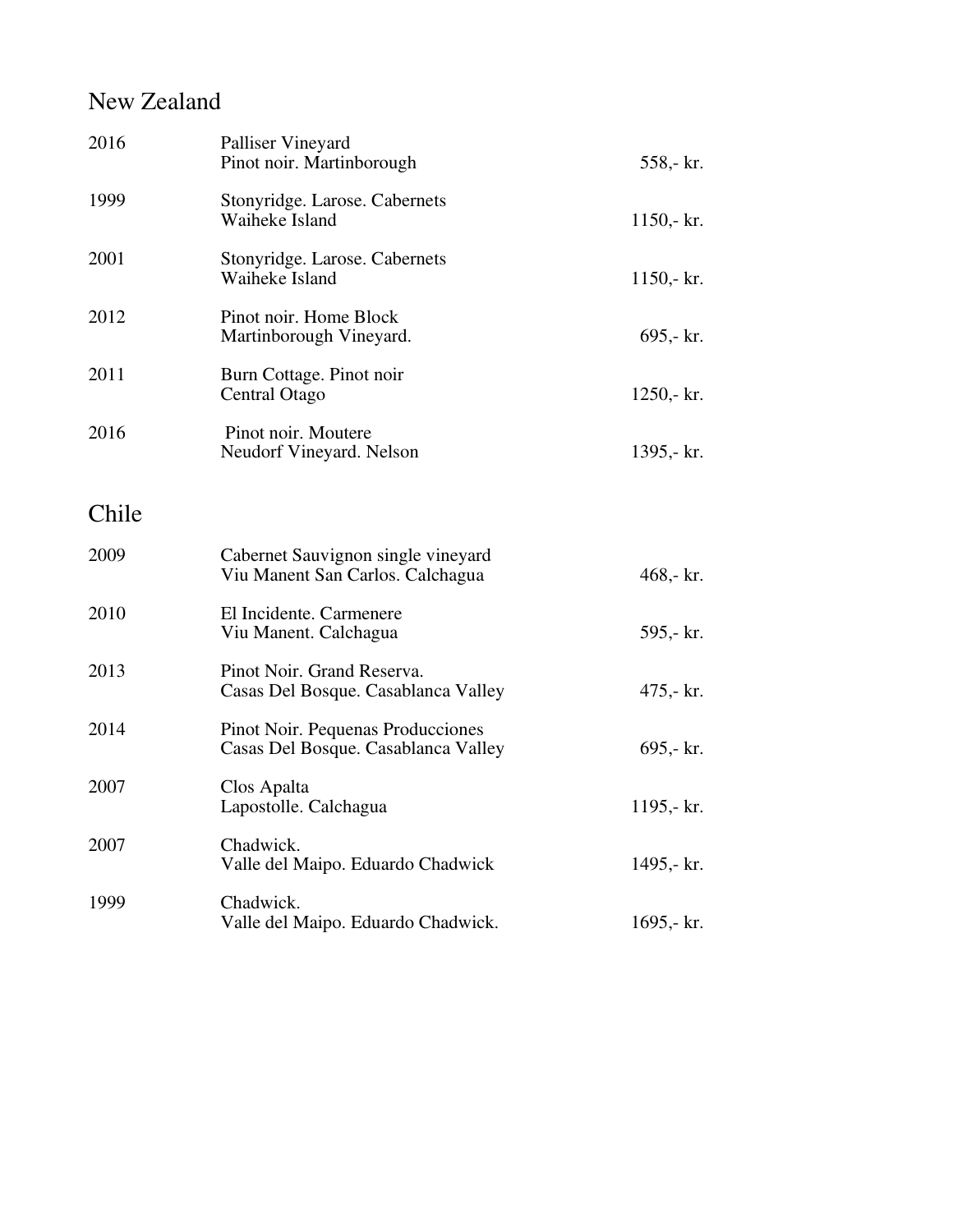### New Zealand

| 2016  | Palliser Vineyard<br>Pinot noir. Martinborough                           | 558,- kr.    |
|-------|--------------------------------------------------------------------------|--------------|
| 1999  | Stonyridge. Larose. Cabernets<br>Waiheke Island                          | $1150 - kr.$ |
| 2001  | Stonyridge. Larose. Cabernets<br>Waiheke Island                          | 1150,- $kr.$ |
| 2012  | Pinot noir. Home Block<br>Martinborough Vineyard.                        | $695 - kr.$  |
| 2011  | Burn Cottage. Pinot noir<br>Central Otago                                | $1250 - kr.$ |
| 2016  | Pinot noir. Moutere<br>Neudorf Vineyard. Nelson                          | 1395,- kr.   |
| Chile |                                                                          |              |
| 2009  | Cabernet Sauvignon single vineyard<br>Viu Manent San Carlos. Calchagua   | 468,- $kr.$  |
| 2010  | El Incidente. Carmenere<br>Viu Manent. Calchagua                         | 595,- kr.    |
| 2013  | Pinot Noir. Grand Reserva.<br>Casas Del Bosque. Casablanca Valley        | $475 - kr$ . |
| 2014  | Pinot Noir. Pequenas Producciones<br>Casas Del Bosque. Casablanca Valley | $695 - kr.$  |
| 2007  | Clos Apalta<br>Lapostolle. Calchagua                                     | 1195,- $kr.$ |
| 2007  | Chadwick.<br>Valle del Maipo. Eduardo Chadwick                           | 1495,- kr.   |
| 1999  | Chadwick.<br>Valle del Maipo. Eduardo Chadwick.                          | 1695,- $kr.$ |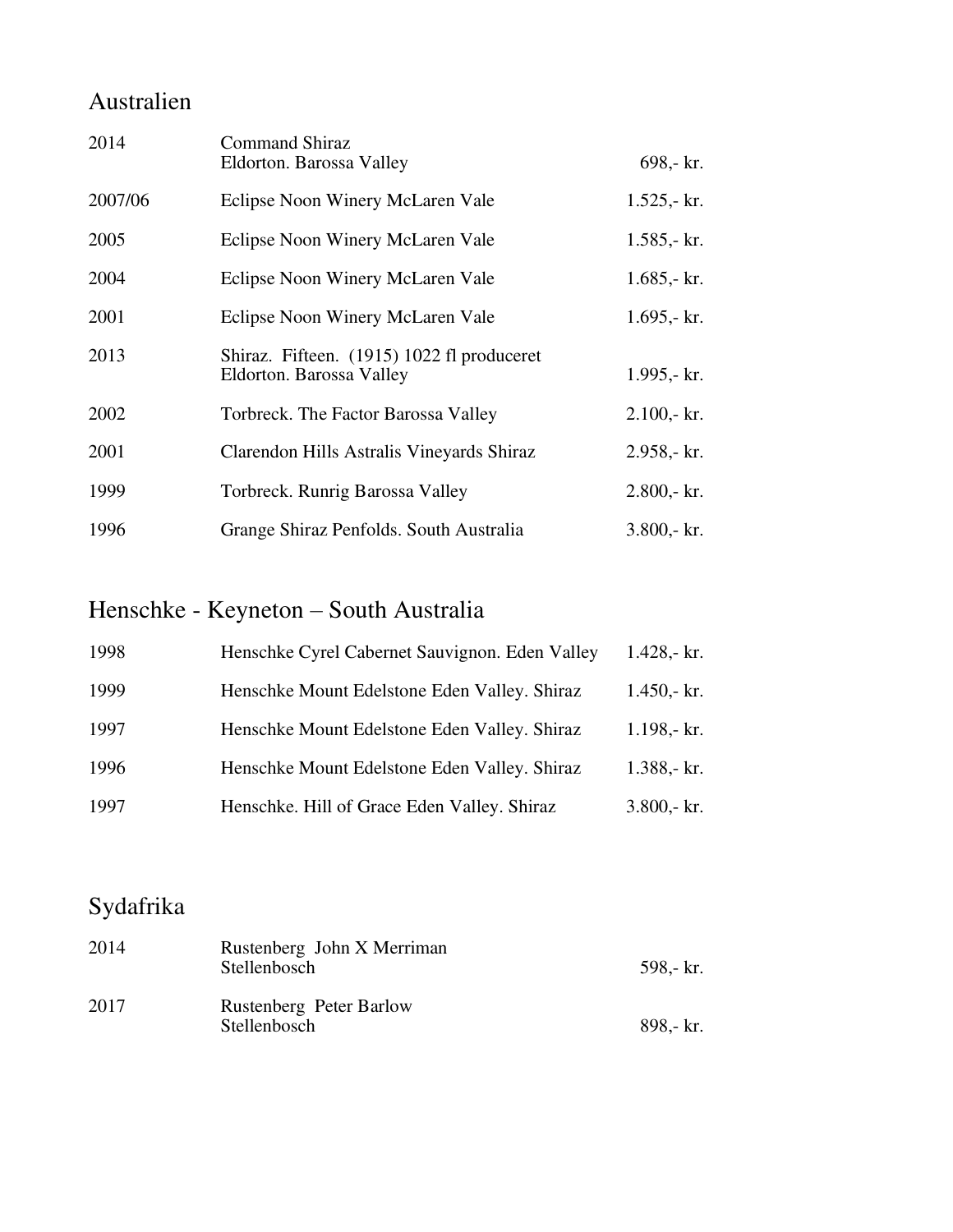### Australien

| 2014    | <b>Command Shiraz</b><br>Eldorton. Barossa Valley                      | 698,- kr.       |
|---------|------------------------------------------------------------------------|-----------------|
| 2007/06 | Eclipse Noon Winery McLaren Vale                                       | $1.525 - kr.$   |
| 2005    | Eclipse Noon Winery McLaren Vale                                       | $1.585 - kr.$   |
| 2004    | Eclipse Noon Winery McLaren Vale                                       | 1.685,- $kr.$   |
| 2001    | Eclipse Noon Winery McLaren Vale                                       | $1.695 - kT$ .  |
| 2013    | Shiraz. Fifteen. (1915) 1022 fl produceret<br>Eldorton. Barossa Valley | 1.995,- $kr.$   |
| 2002    | Torbreck. The Factor Barossa Valley                                    | $2.100 - k r$ . |
| 2001    | Clarendon Hills Astralis Vineyards Shiraz                              | 2.958,- kr.     |
| 1999    | Torbreck. Runrig Barossa Valley                                        | $2.800 - kr.$   |
| 1996    | Grange Shiraz Penfolds. South Australia                                | $3.800 - k r$ . |

# Henschke - Keyneton – South Australia

| 1998 | Henschke Cyrel Cabernet Sauvignon. Eden Valley | 1.428,- $kr.$   |
|------|------------------------------------------------|-----------------|
| 1999 | Henschke Mount Edelstone Eden Valley. Shiraz   | $1.450 - kr.$   |
| 1997 | Henschke Mount Edelstone Eden Valley. Shiraz   | $1.198 - kr.$   |
| 1996 | Henschke Mount Edelstone Eden Valley. Shiraz   | $1.388 - kr.$   |
| 1997 | Henschke. Hill of Grace Eden Valley. Shiraz    | $3.800 - k r$ . |

## Sydafrika

| 2014 | Rustenberg John X Merriman<br>Stellenbosch | 598.- kr. |
|------|--------------------------------------------|-----------|
| 2017 | Rustenberg Peter Barlow<br>Stellenbosch    | 898, kr.  |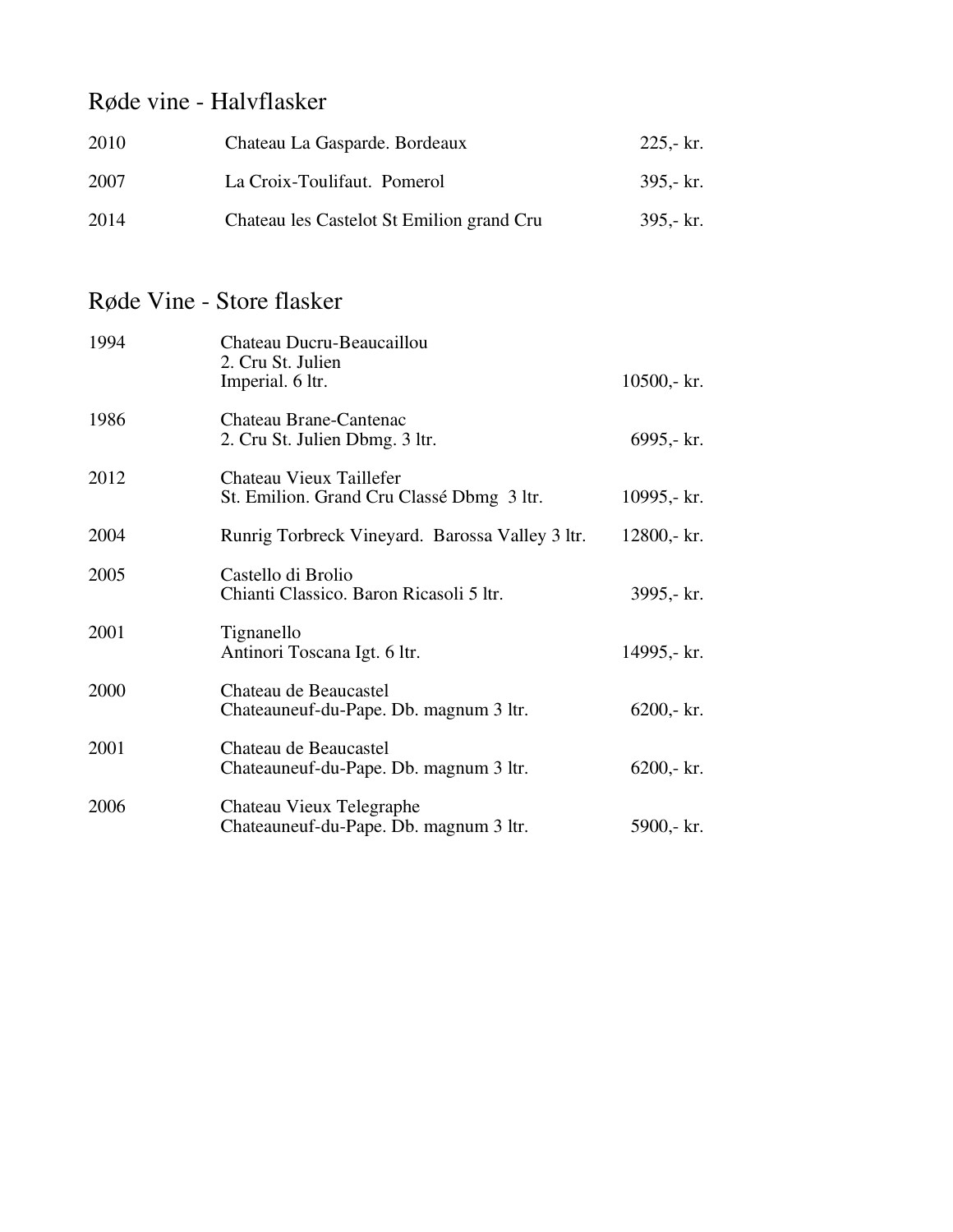### Røde vine - Halvflasker

| 2010 | Chateau La Gasparde. Bordeaux             | $225 - kT$ . |  |
|------|-------------------------------------------|--------------|--|
| 2007 | La Croix-Toulifaut. Pomerol               | $395 - kT$ . |  |
| 2014 | Chateau les Castelot St Emilion grand Cru | $395 - kT$ . |  |

### Røde Vine - Store flasker

| 1994 | Chateau Ducru-Beaucaillou<br>2. Cru St. Julien<br>Imperial. 6 ltr.   | $10500 - k r$ . |
|------|----------------------------------------------------------------------|-----------------|
| 1986 | Chateau Brane-Cantenac<br>2. Cru St. Julien Dbmg. 3 ltr.             | $6995 - k$ r.   |
| 2012 | Chateau Vieux Taillefer<br>St. Emilion. Grand Cru Classé Dbmg 3 ltr. | 10995,- $kr.$   |
| 2004 | Runrig Torbreck Vineyard. Barossa Valley 3 ltr.                      | 12800,- kr.     |
| 2005 | Castello di Brolio<br>Chianti Classico. Baron Ricasoli 5 ltr.        | 3995,- kr.      |
| 2001 | Tignanello<br>Antinori Toscana Igt. 6 ltr.                           | 14995,- kr.     |
| 2000 | Chateau de Beaucastel<br>Chateauneuf-du-Pape. Db. magnum 3 ltr.      | $6200 - k r$ .  |
| 2001 | Chateau de Beaucastel<br>Chateauneuf-du-Pape. Db. magnum 3 ltr.      | $6200 - k r$ .  |
| 2006 | Chateau Vieux Telegraphe<br>Chateauneuf-du-Pape. Db. magnum 3 ltr.   | $5900 - k$ r.   |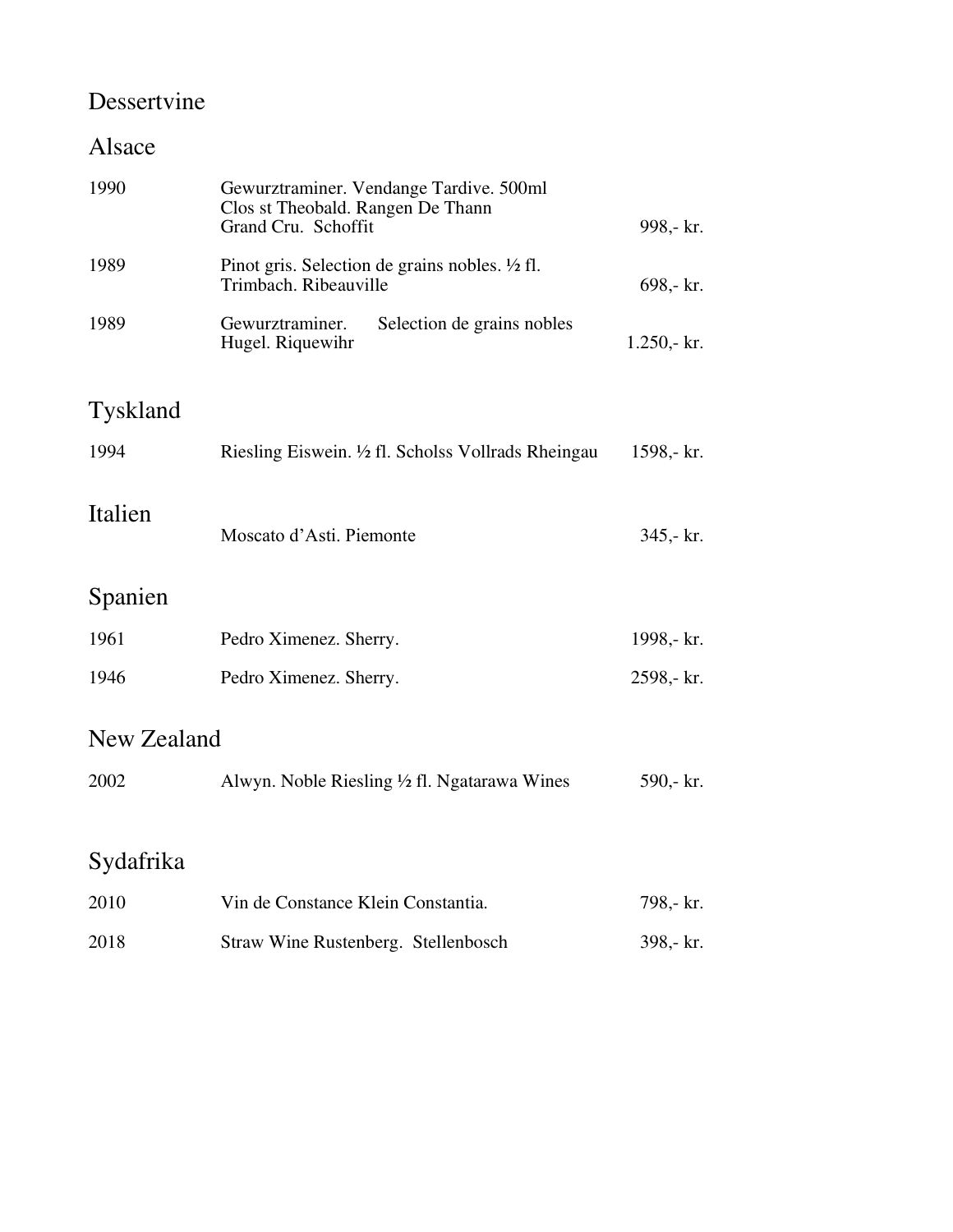### Dessertvine

### Alsace

| 1990            | Gewurztraminer. Vendange Tardive. 500ml<br>Clos st Theobald. Rangen De Thann<br>Grand Cru. Schoffit | 998,- kr.     |
|-----------------|-----------------------------------------------------------------------------------------------------|---------------|
| 1989            | Pinot gris. Selection de grains nobles. $\frac{1}{2}$ fl.<br>Trimbach. Ribeauville                  | $698 - kr.$   |
| 1989            | Gewurztraminer.<br>Selection de grains nobles<br>Hugel. Riquewihr                                   | $1.250 - kr.$ |
| <b>Tyskland</b> |                                                                                                     |               |
| 1994            | Riesling Eiswein. 1/2 fl. Scholss Vollrads Rheingau                                                 | 1598,- kr.    |
| Italien         | Moscato d'Asti. Piemonte                                                                            | $345 - kr.$   |
| Spanien         |                                                                                                     |               |
| 1961            | Pedro Ximenez. Sherry.                                                                              | 1998,- kr.    |
| 1946            | Pedro Ximenez. Sherry.                                                                              | 2598,- kr.    |
| New Zealand     |                                                                                                     |               |
| 2002            | Alwyn. Noble Riesling $\frac{1}{2}$ fl. Ngatarawa Wines                                             | 590,- kr.     |
|                 |                                                                                                     |               |
| Sydafrika       |                                                                                                     |               |
| 2010            | Vin de Constance Klein Constantia.                                                                  | 798,- kr.     |
| 2018            | Straw Wine Rustenberg. Stellenbosch                                                                 | 398,- kr.     |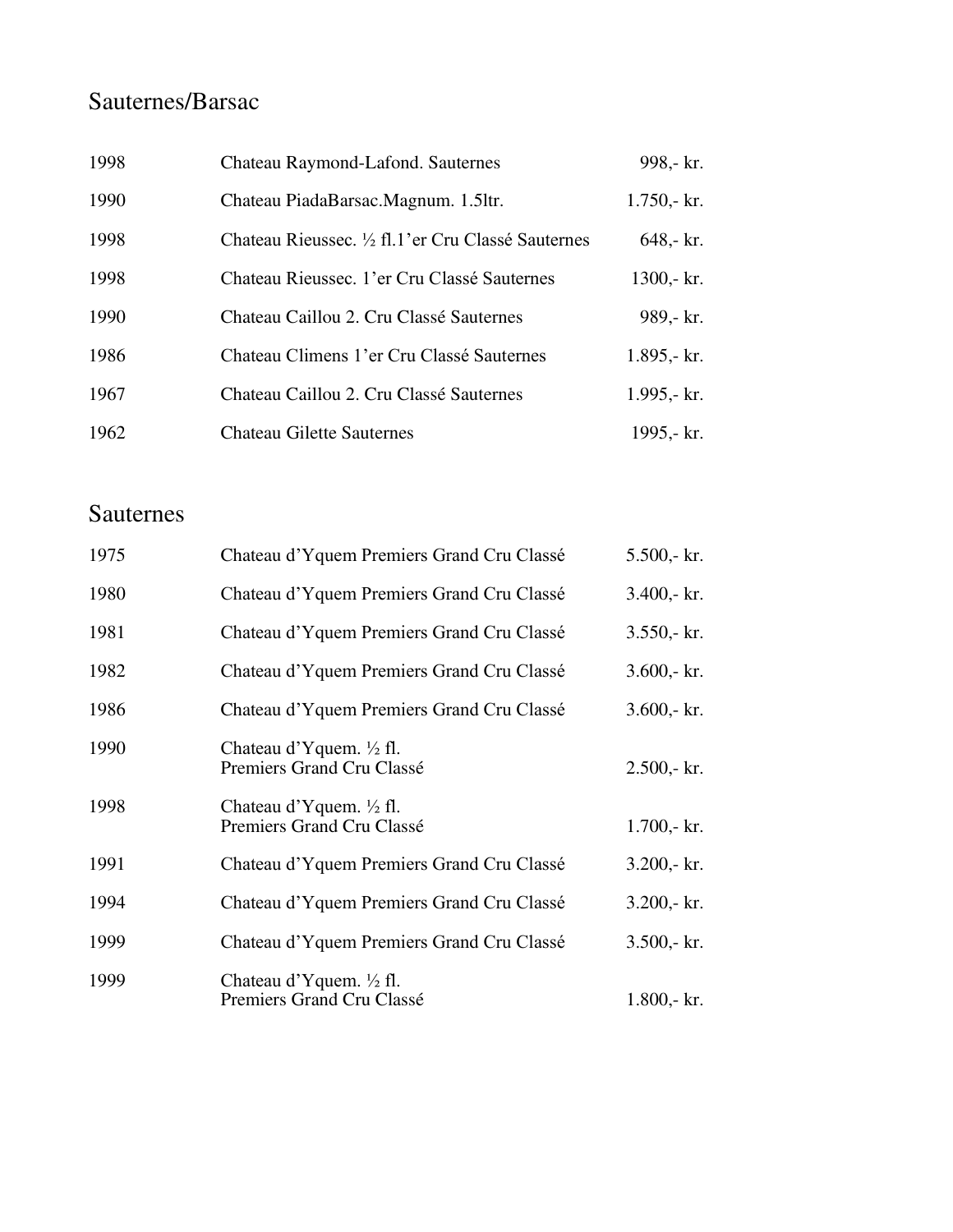### Sauternes/Barsac

| 1998 | Chateau Raymond-Lafond. Sauternes                | 998,- kr.     |
|------|--------------------------------------------------|---------------|
| 1990 | Chateau PiadaBarsac.Magnum. 1.5ltr.              | $1.750 - kr.$ |
| 1998 | Chateau Rieussec. ½ fl.1'er Cru Classé Sauternes | $648 - kr.$   |
| 1998 | Chateau Rieussec. 1'er Cru Classé Sauternes      | $1300 - kr.$  |
| 1990 | Chateau Caillou 2. Cru Classé Sauternes          | 989,- kr.     |
| 1986 | Chateau Climens 1'er Cru Classé Sauternes        | $1.895 - kr.$ |
| 1967 | Chateau Caillou 2. Cru Classé Sauternes          | 1.995,- $kr.$ |
| 1962 | <b>Chateau Gilette Sauternes</b>                 | 1995,- kr.    |

#### Sauternes

| 1975 | Chateau d'Yquem Premiers Grand Cru Classé                       | $5.500 - k$ r.  |
|------|-----------------------------------------------------------------|-----------------|
| 1980 | Chateau d'Yquem Premiers Grand Cru Classé                       | $3.400 - k r$ . |
| 1981 | Chateau d'Yquem Premiers Grand Cru Classé                       | $3.550 - kr.$   |
| 1982 | Chateau d'Yquem Premiers Grand Cru Classé                       | $3.600 - k r$ . |
| 1986 | Chateau d'Yquem Premiers Grand Cru Classé                       | $3.600 - k r$ . |
| 1990 | Chateau d'Yquem. $\frac{1}{2}$ fl.<br>Premiers Grand Cru Classé | $2.500 - kr.$   |
| 1998 | Chateau d'Yquem. $\frac{1}{2}$ fl.<br>Premiers Grand Cru Classé | $1.700 - k r$ . |
| 1991 | Chateau d'Yquem Premiers Grand Cru Classé                       | $3.200 - k r$ . |
| 1994 | Chateau d'Yquem Premiers Grand Cru Classé                       | $3.200 - k r$ . |
| 1999 | Chateau d'Yquem Premiers Grand Cru Classé                       | $3.500 - k r$ . |
| 1999 | Chateau d'Yquem. $\frac{1}{2}$ fl.<br>Premiers Grand Cru Classé | $1.800 - k r$ . |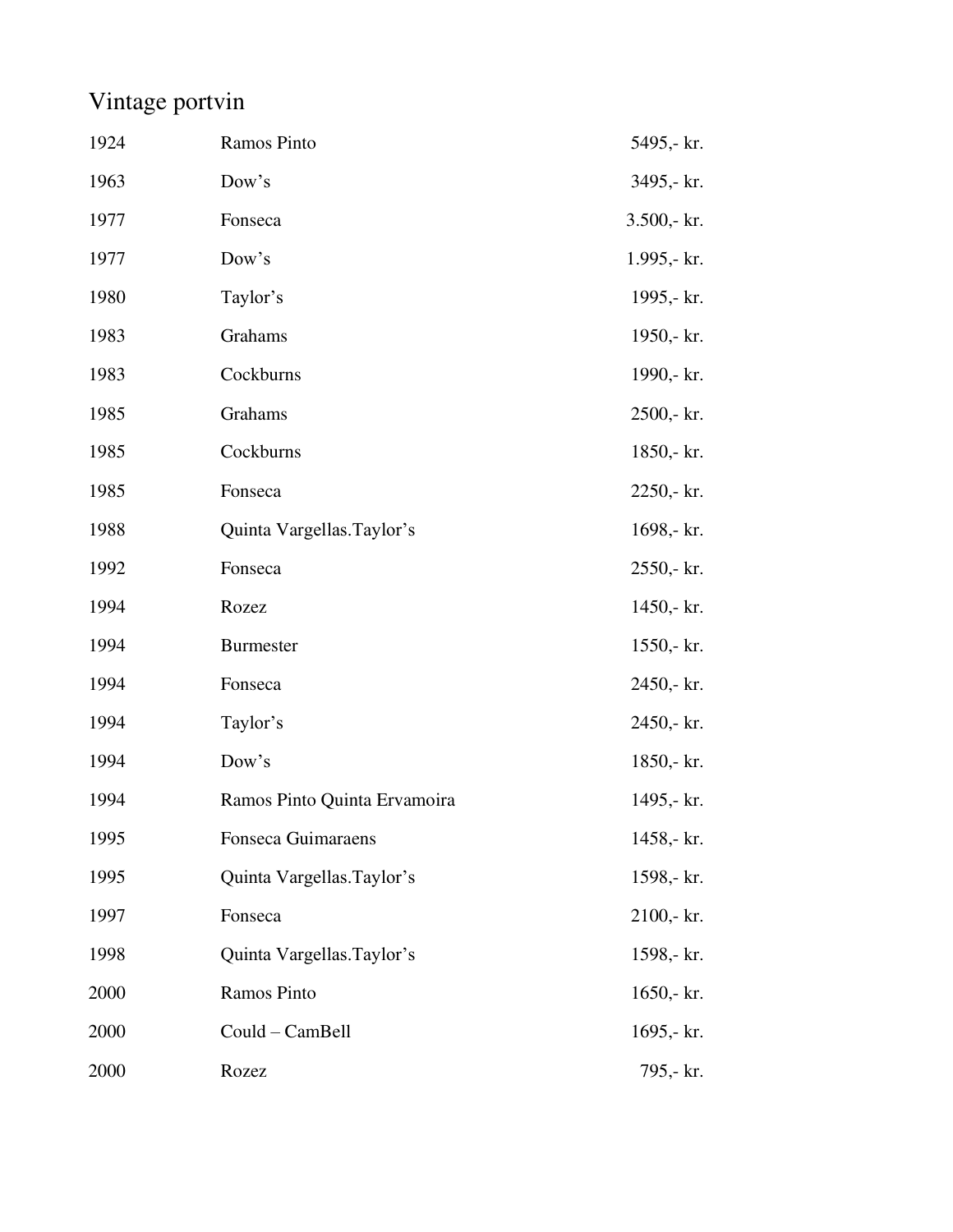## Vintage portvin

| 1924 | Ramos Pinto                  | 5495,- kr.    |
|------|------------------------------|---------------|
| 1963 | Dow's                        | 3495,- kr.    |
| 1977 | Fonseca                      | $3.500 - kr.$ |
| 1977 | Dow's                        | $1.995 - kr.$ |
| 1980 | Taylor's                     | 1995,- kr.    |
| 1983 | Grahams                      | 1950,- kr.    |
| 1983 | Cockburns                    | 1990,- kr.    |
| 1985 | Grahams                      | $2500 - kr.$  |
| 1985 | Cockburns                    | 1850,- kr.    |
| 1985 | Fonseca                      | 2250,- kr.    |
| 1988 | Quinta Vargellas.Taylor's    | 1698,- kr.    |
| 1992 | Fonseca                      | $2550 - kr.$  |
| 1994 | Rozez                        | $1450 - k.$   |
| 1994 | <b>Burmester</b>             | $1550 - kr.$  |
| 1994 | Fonseca                      | 2450,- kr.    |
| 1994 | Taylor's                     | 2450,- kr.    |
| 1994 | Dow's                        | $1850 - kr.$  |
| 1994 | Ramos Pinto Quinta Ervamoira | 1495,- kr.    |
| 1995 | Fonseca Guimaraens           | 1458,- kr.    |
| 1995 | Quinta Vargellas. Taylor's   | 1598,- kr.    |
| 1997 | Fonseca                      | $2100 - kr.$  |
| 1998 | Quinta Vargellas. Taylor's   | 1598,- kr.    |
| 2000 | Ramos Pinto                  | $1650 - kr.$  |
| 2000 | Could - CamBell              | 1695,- $kr.$  |
| 2000 | Rozez                        | 795,- kr.     |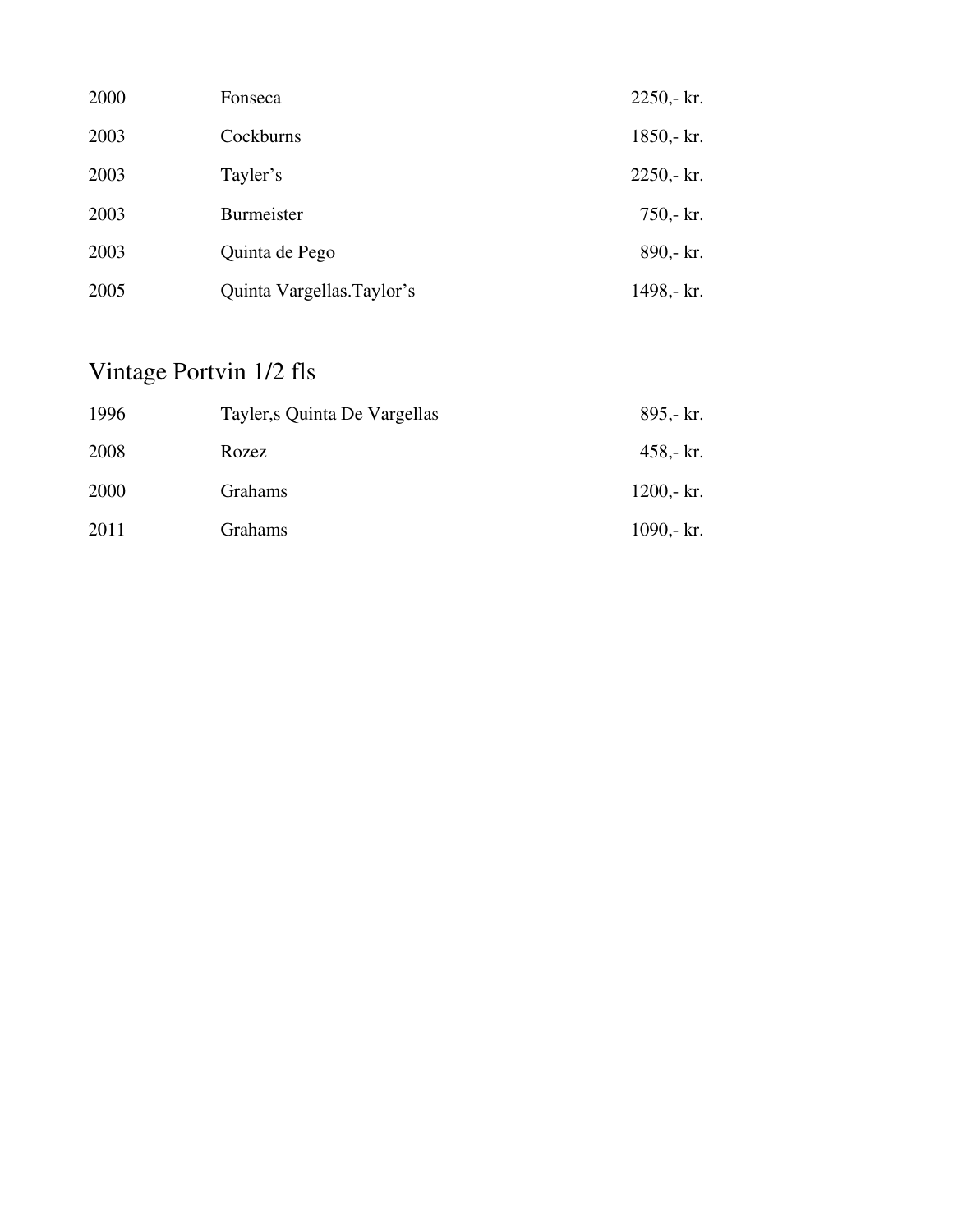| 2000 | Fonseca                   | $2250 - kr.$        |
|------|---------------------------|---------------------|
| 2003 | Cockburns                 | $1850 - kr.$        |
| 2003 | Tayler's                  | $2250 - kr.$        |
| 2003 | Burmeister                | $750 - \text{kr}$ . |
| 2003 | Quinta de Pego            | 890,- kr.           |
| 2005 | Quinta Vargellas.Taylor's | 1498,- kr.          |

## Vintage Portvin 1/2 fls

| 1996 | Tayler, s Quinta De Vargellas | $895 - kT$ . |
|------|-------------------------------|--------------|
| 2008 | Rozez                         | $458 - kr.$  |
| 2000 | Grahams                       | $1200 - kr.$ |
| 2011 | <b>Grahams</b>                | 1090,- $kr.$ |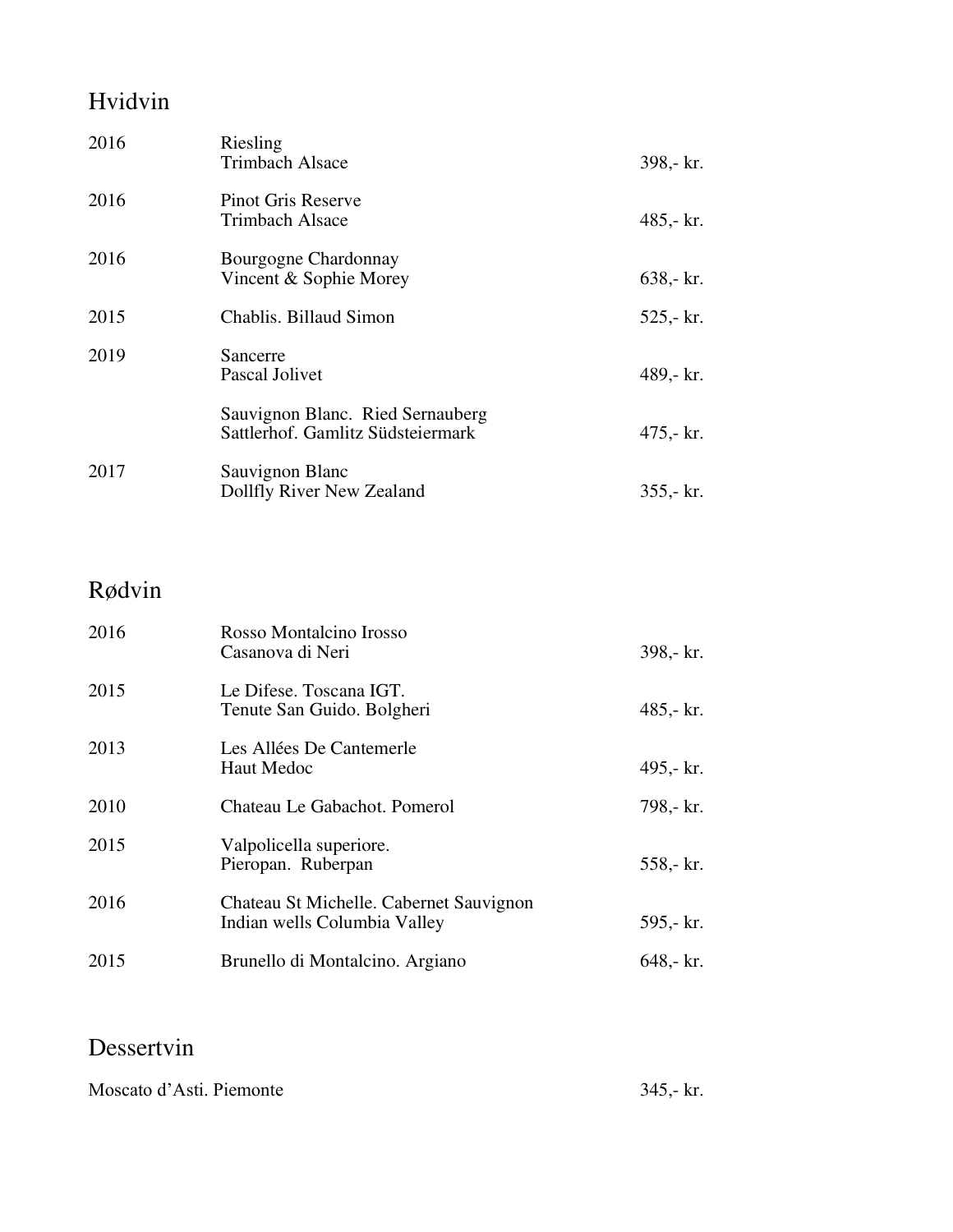### Hvidvin

| 2016 | Riesling<br><b>Trimbach Alsace</b>                                    | 398,- kr.    |
|------|-----------------------------------------------------------------------|--------------|
| 2016 | Pinot Gris Reserve<br>Trimbach Alsace                                 | 485,- $kr.$  |
| 2016 | Bourgogne Chardonnay<br>Vincent & Sophie Morey                        | $638 - kr.$  |
| 2015 | Chablis. Billaud Simon                                                | $525 - kr.$  |
| 2019 | Sancerre<br>Pascal Jolivet                                            | 489,- kr.    |
|      | Sauvignon Blanc. Ried Sernauberg<br>Sattlerhof. Gamlitz Südsteiermark | $475 - kr$ . |
| 2017 | Sauvignon Blanc<br>Dollfly River New Zealand                          | $355 - kr.$  |

### Rødvin

| 2016 | Rosso Montalcino Irosso<br>Casanova di Neri                             | 398,- kr.   |
|------|-------------------------------------------------------------------------|-------------|
| 2015 | Le Difese. Toscana IGT.<br>Tenute San Guido. Bolgheri                   | $485 - kr.$ |
| 2013 | Les Allées De Cantemerle<br>Haut Medoc                                  | 495,- $kr.$ |
| 2010 | Chateau Le Gabachot. Pomerol                                            | 798,- kr.   |
| 2015 | Valpolicella superiore.<br>Pieropan. Ruberpan                           | $558 - kr.$ |
| 2016 | Chateau St Michelle. Cabernet Sauvignon<br>Indian wells Columbia Valley | $595 - kr.$ |
| 2015 | Brunello di Montalcino. Argiano                                         | $648 - kr.$ |

#### Dessertvin

Moscato d'Asti. Piemonte 345,- kr.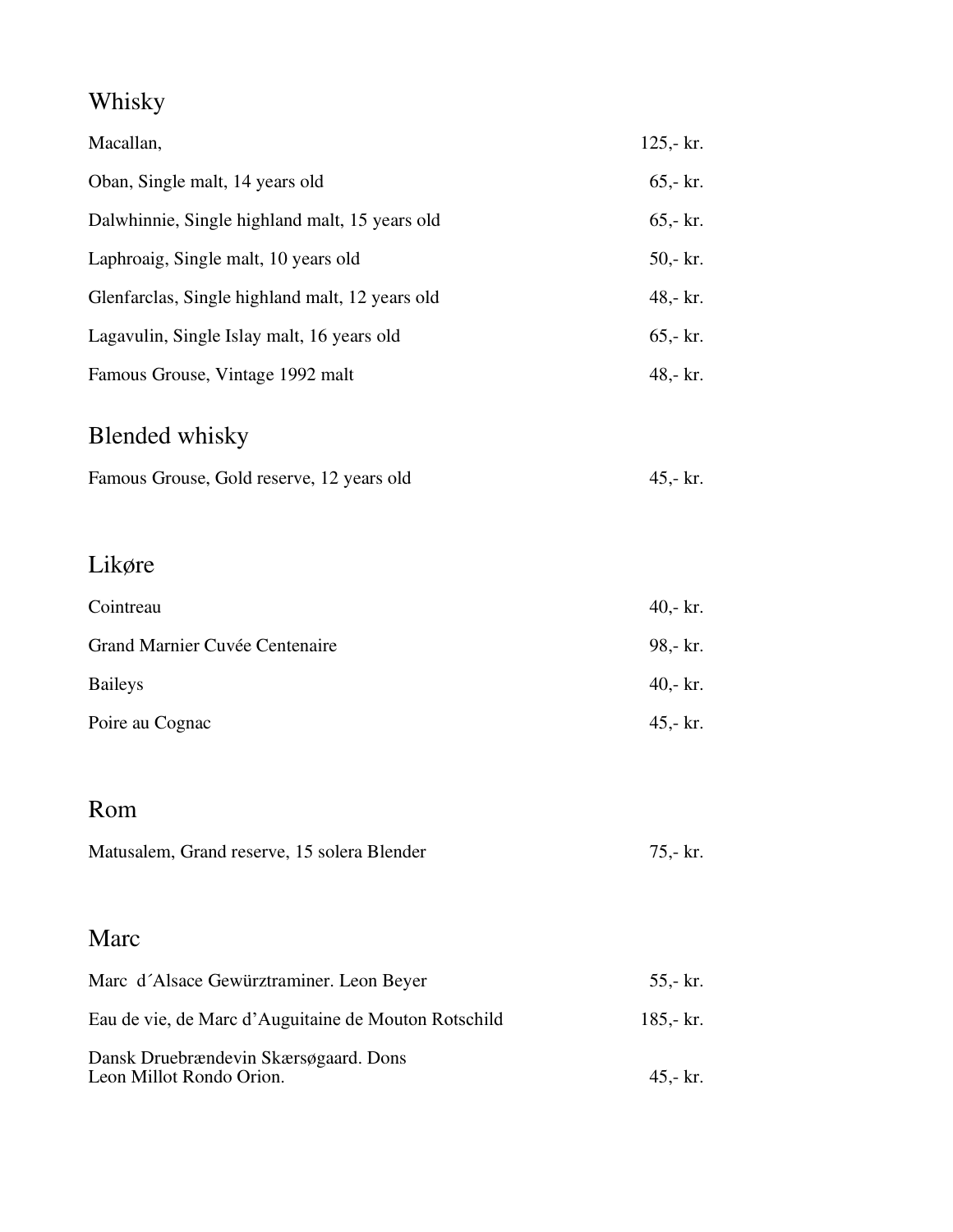## Whisky

| Macallan,                                                         | $125 - kr.$         |
|-------------------------------------------------------------------|---------------------|
| Oban, Single malt, 14 years old                                   | $65 - kr$ .         |
| Dalwhinnie, Single highland malt, 15 years old                    | $65 - kr$ .         |
| Laphroaig, Single malt, 10 years old                              | $50 - \text{kr}$ .  |
| Glenfarclas, Single highland malt, 12 years old                   | 48,- kr.            |
| Lagavulin, Single Islay malt, 16 years old                        | $65 - kr.$          |
| Famous Grouse, Vintage 1992 malt                                  | 48,- kr.            |
| <b>Blended whisky</b>                                             |                     |
| Famous Grouse, Gold reserve, 12 years old                         | 45,- kr.            |
| Likøre                                                            |                     |
| Cointreau                                                         | 40,- $kr.$          |
| Grand Marnier Cuvée Centenaire                                    | 98,- kr.            |
| <b>Baileys</b>                                                    | 40,- $kr.$          |
| Poire au Cognac                                                   | $45,-\mathrm{kr}$ . |
| Rom                                                               |                     |
| Matusalem, Grand reserve, 15 solera Blender                       | 75,- kr.            |
| Marc                                                              |                     |
| Marc d'Alsace Gewürztraminer. Leon Beyer                          | 55,- kr.            |
| Eau de vie, de Marc d'Auguitaine de Mouton Rotschild              | 185,- $kr.$         |
| Dansk Druebrændevin Skærsøgaard. Dons<br>Leon Millot Rondo Orion. | 45,- kr.            |